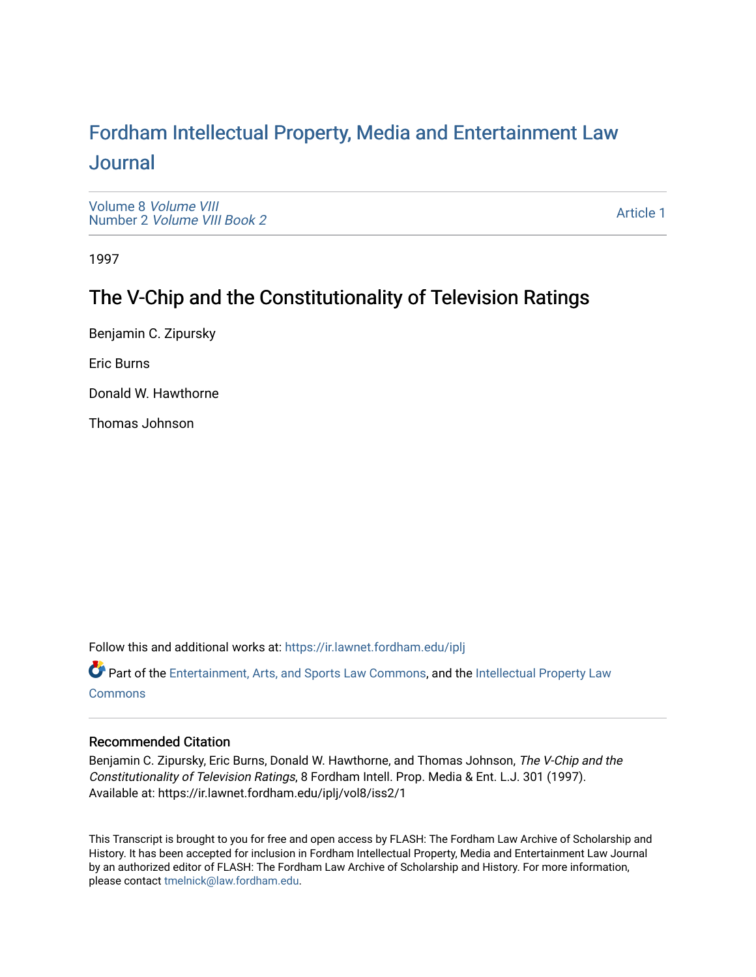# For[dham Intellectual Property, Media and Enter](https://ir.lawnet.fordham.edu/iplj)tainment Law [Journal](https://ir.lawnet.fordham.edu/iplj)

[Volume 8](https://ir.lawnet.fordham.edu/iplj/vol8) Volume VIII Number 2 [Volume VIII Book 2](https://ir.lawnet.fordham.edu/iplj/vol8/iss2)

[Article 1](https://ir.lawnet.fordham.edu/iplj/vol8/iss2/1) 

1997

# The V-Chip and the Constitutionality of Television Ratings

Benjamin C. Zipursky

Eric Burns

Donald W. Hawthorne

Thomas Johnson

Follow this and additional works at: [https://ir.lawnet.fordham.edu/iplj](https://ir.lawnet.fordham.edu/iplj?utm_source=ir.lawnet.fordham.edu%2Fiplj%2Fvol8%2Fiss2%2F1&utm_medium=PDF&utm_campaign=PDFCoverPages) 

Part of the [Entertainment, Arts, and Sports Law Commons](http://network.bepress.com/hgg/discipline/893?utm_source=ir.lawnet.fordham.edu%2Fiplj%2Fvol8%2Fiss2%2F1&utm_medium=PDF&utm_campaign=PDFCoverPages), and the [Intellectual Property Law](http://network.bepress.com/hgg/discipline/896?utm_source=ir.lawnet.fordham.edu%2Fiplj%2Fvol8%2Fiss2%2F1&utm_medium=PDF&utm_campaign=PDFCoverPages) **[Commons](http://network.bepress.com/hgg/discipline/896?utm_source=ir.lawnet.fordham.edu%2Fiplj%2Fvol8%2Fiss2%2F1&utm_medium=PDF&utm_campaign=PDFCoverPages)** 

# Recommended Citation

Benjamin C. Zipursky, Eric Burns, Donald W. Hawthorne, and Thomas Johnson, The V-Chip and the Constitutionality of Television Ratings, 8 Fordham Intell. Prop. Media & Ent. L.J. 301 (1997). Available at: https://ir.lawnet.fordham.edu/iplj/vol8/iss2/1

This Transcript is brought to you for free and open access by FLASH: The Fordham Law Archive of Scholarship and History. It has been accepted for inclusion in Fordham Intellectual Property, Media and Entertainment Law Journal by an authorized editor of FLASH: The Fordham Law Archive of Scholarship and History. For more information, please contact [tmelnick@law.fordham.edu](mailto:tmelnick@law.fordham.edu).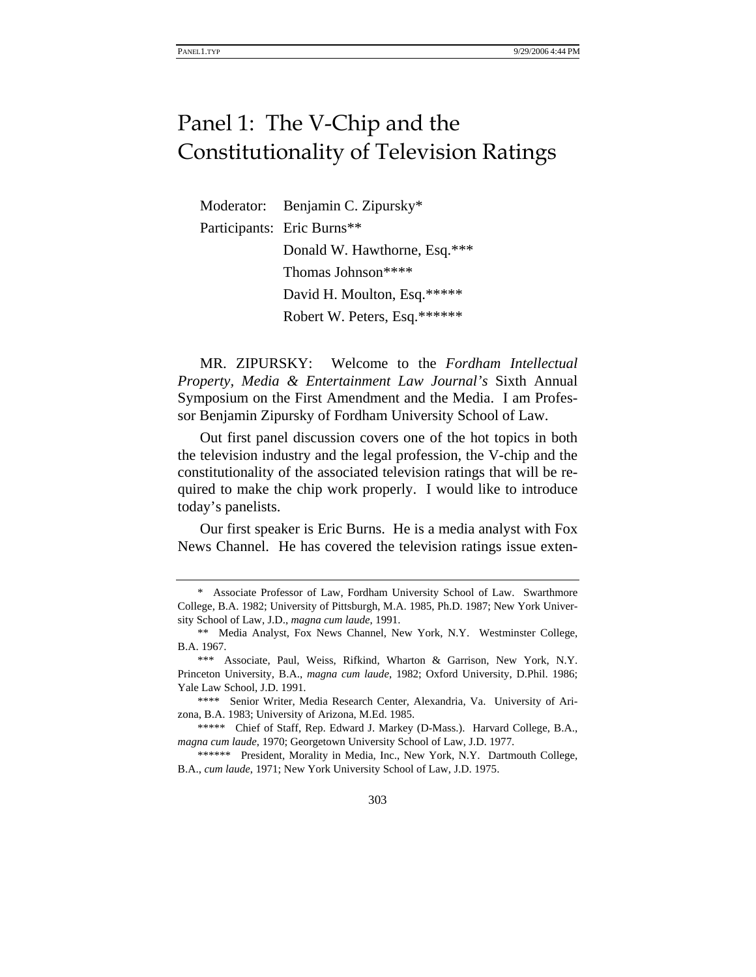# Panel 1: The V-Chip and the Constitutionality of Television Ratings

Moderator: Benjamin C. Zipursky\* Participants: Eric Burns\*\* Donald W. Hawthorne, Esq.\*\*\* Thomas Johnson\*\*\*\* David H. Moulton, Esq.\*\*\*\*\* Robert W. Peters, Esq.\*\*\*\*\*\*

MR. ZIPURSKY: Welcome to the *Fordham Intellectual Property, Media & Entertainment Law Journal's* Sixth Annual Symposium on the First Amendment and the Media. I am Professor Benjamin Zipursky of Fordham University School of Law.

Out first panel discussion covers one of the hot topics in both the television industry and the legal profession, the V-chip and the constitutionality of the associated television ratings that will be required to make the chip work properly. I would like to introduce today's panelists.

Our first speaker is Eric Burns. He is a media analyst with Fox News Channel. He has covered the television ratings issue exten-

<sup>\*</sup> Associate Professor of Law, Fordham University School of Law. Swarthmore College, B.A. 1982; University of Pittsburgh, M.A. 1985, Ph.D. 1987; New York University School of Law, J.D., *magna cum laude*, 1991.

<sup>\*\*</sup> Media Analyst, Fox News Channel, New York, N.Y. Westminster College, B.A. 1967.

<sup>\*\*\*</sup> Associate, Paul, Weiss, Rifkind, Wharton & Garrison, New York, N.Y. Princeton University, B.A., *magna cum laude*, 1982; Oxford University, D.Phil. 1986; Yale Law School, J.D. 1991.

<sup>\*\*\*\*</sup> Senior Writer, Media Research Center, Alexandria, Va. University of Arizona, B.A. 1983; University of Arizona, M.Ed. 1985.

<sup>\*\*\*\*\*</sup> Chief of Staff, Rep. Edward J. Markey (D-Mass.). Harvard College, B.A., *magna cum laude*, 1970; Georgetown University School of Law, J.D. 1977.

<sup>\*\*\*\*\*\*</sup> President, Morality in Media, Inc., New York, N.Y. Dartmouth College, B.A., *cum laude*, 1971; New York University School of Law, J.D. 1975.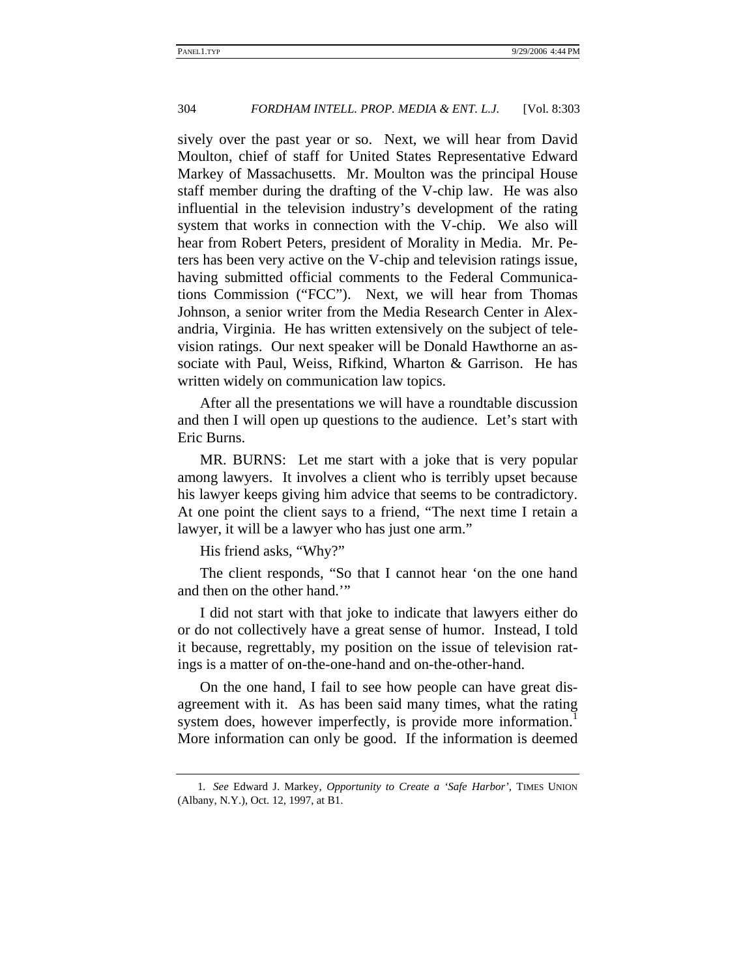sively over the past year or so. Next, we will hear from David Moulton, chief of staff for United States Representative Edward Markey of Massachusetts. Mr. Moulton was the principal House staff member during the drafting of the V-chip law. He was also influential in the television industry's development of the rating system that works in connection with the V-chip. We also will hear from Robert Peters, president of Morality in Media. Mr. Peters has been very active on the V-chip and television ratings issue, having submitted official comments to the Federal Communications Commission ("FCC"). Next, we will hear from Thomas Johnson, a senior writer from the Media Research Center in Alexandria, Virginia. He has written extensively on the subject of television ratings. Our next speaker will be Donald Hawthorne an associate with Paul, Weiss, Rifkind, Wharton & Garrison. He has written widely on communication law topics.

After all the presentations we will have a roundtable discussion and then I will open up questions to the audience. Let's start with Eric Burns.

MR. BURNS: Let me start with a joke that is very popular among lawyers. It involves a client who is terribly upset because his lawyer keeps giving him advice that seems to be contradictory. At one point the client says to a friend, "The next time I retain a lawyer, it will be a lawyer who has just one arm."

His friend asks, "Why?"

The client responds, "So that I cannot hear 'on the one hand and then on the other hand.'"

I did not start with that joke to indicate that lawyers either do or do not collectively have a great sense of humor. Instead, I told it because, regrettably, my position on the issue of television ratings is a matter of on-the-one-hand and on-the-other-hand.

On the one hand, I fail to see how people can have great disagreement with it. As has been said many times, what the rating system does, however imperfectly, is provide more information.<sup>1</sup> More information can only be good. If the information is deemed

<sup>1</sup>*. See* Edward J. Markey, *Opportunity to Create a 'Safe Harbor'*, TIMES UNION (Albany, N.Y.), Oct. 12, 1997, at B1.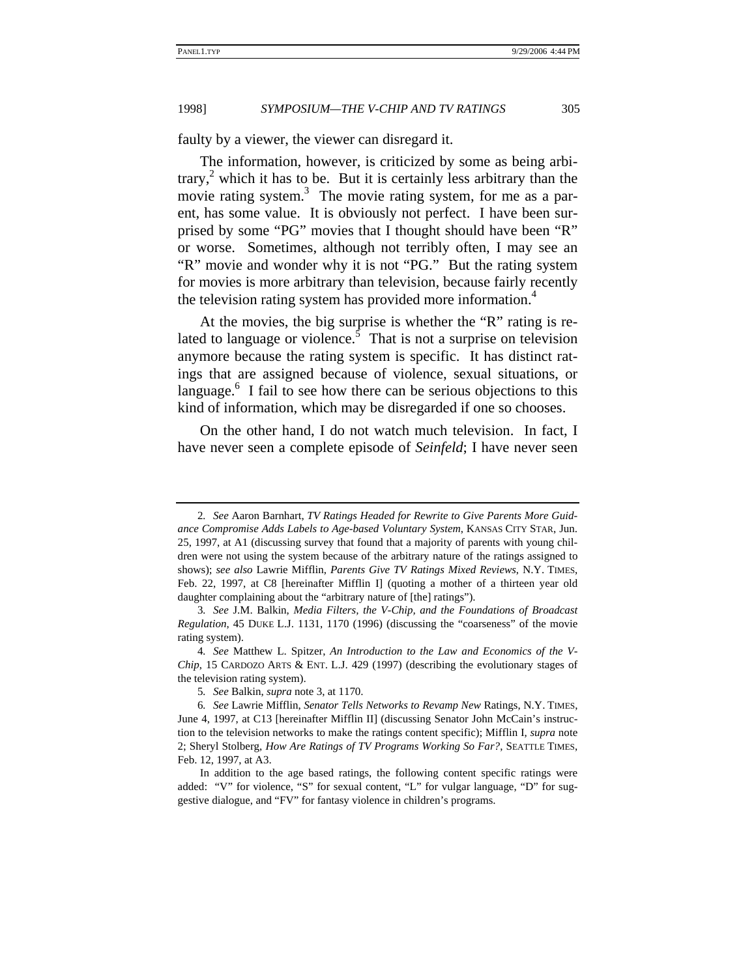faulty by a viewer, the viewer can disregard it.

The information, however, is criticized by some as being arbitrary,<sup>2</sup> which it has to be. But it is certainly less arbitrary than the movie rating system.<sup>3</sup> The movie rating system, for me as a parent, has some value. It is obviously not perfect. I have been surprised by some "PG" movies that I thought should have been "R" or worse. Sometimes, although not terribly often, I may see an "R" movie and wonder why it is not "PG." But the rating system for movies is more arbitrary than television, because fairly recently the television rating system has provided more information.<sup>4</sup>

At the movies, the big surprise is whether the "R" rating is related to language or violence.<sup>5</sup> That is not a surprise on television anymore because the rating system is specific. It has distinct ratings that are assigned because of violence, sexual situations, or language.<sup>6</sup> I fail to see how there can be serious objections to this kind of information, which may be disregarded if one so chooses.

On the other hand, I do not watch much television. In fact, I have never seen a complete episode of *Seinfeld*; I have never seen

<sup>2</sup>*. See* Aaron Barnhart, *TV Ratings Headed for Rewrite to Give Parents More Guidance Compromise Adds Labels to Age-based Voluntary System*, KANSAS CITY STAR, Jun. 25, 1997, at A1 (discussing survey that found that a majority of parents with young children were not using the system because of the arbitrary nature of the ratings assigned to shows); *see also* Lawrie Mifflin, *Parents Give TV Ratings Mixed Reviews*, N.Y. TIMES, Feb. 22, 1997, at C8 [hereinafter Mifflin I] (quoting a mother of a thirteen year old daughter complaining about the "arbitrary nature of [the] ratings").

<sup>3</sup>*. See* J.M. Balkin, *Media Filters, the V-Chip, and the Foundations of Broadcast Regulation*, 45 DUKE L.J. 1131, 1170 (1996) (discussing the "coarseness" of the movie rating system).

<sup>4</sup>*. See* Matthew L. Spitzer, *An Introduction to the Law and Economics of the V-Chip*, 15 CARDOZO ARTS & ENT. L.J. 429 (1997) (describing the evolutionary stages of the television rating system).

<sup>5</sup>*. See* Balkin, *supra* note 3, at 1170.

<sup>6</sup>*. See* Lawrie Mifflin, *Senator Tells Networks to Revamp New* Ratings, N.Y. TIMES, June 4, 1997, at C13 [hereinafter Mifflin II] (discussing Senator John McCain's instruction to the television networks to make the ratings content specific); Mifflin I, *supra* note 2; Sheryl Stolberg, *How Are Ratings of TV Programs Working So Far?*, SEATTLE TIMES, Feb. 12, 1997, at A3.

In addition to the age based ratings, the following content specific ratings were added: "V" for violence, "S" for sexual content, "L" for vulgar language, "D" for suggestive dialogue, and "FV" for fantasy violence in children's programs.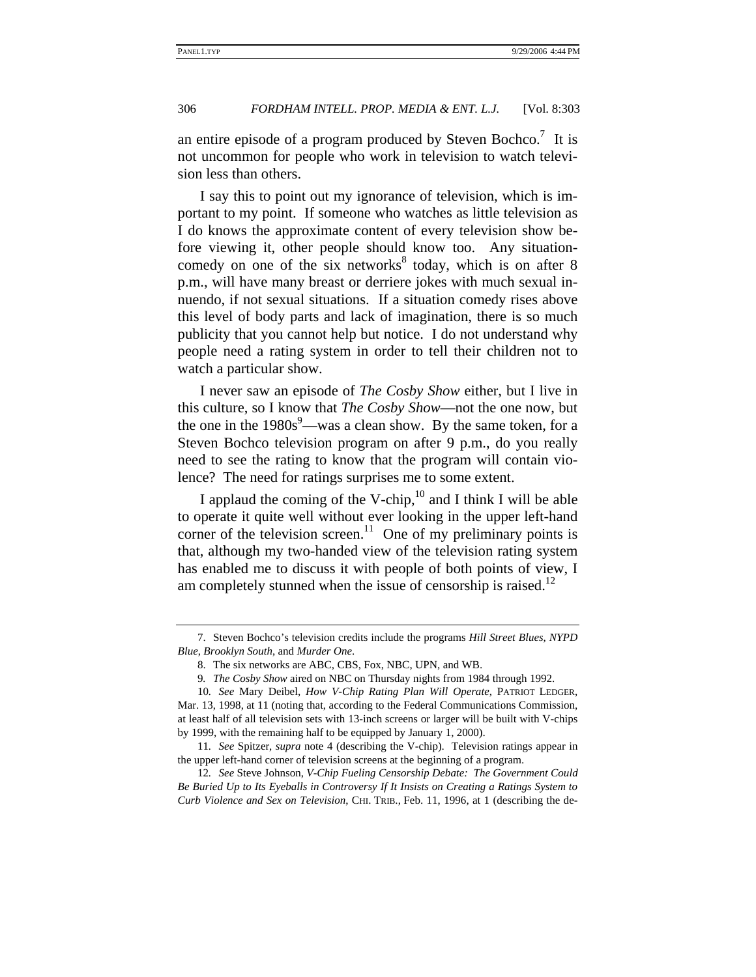an entire episode of a program produced by Steven Bochco.<sup>7</sup> It is not uncommon for people who work in television to watch television less than others.

I say this to point out my ignorance of television, which is important to my point. If someone who watches as little television as I do knows the approximate content of every television show before viewing it, other people should know too. Any situationcomedy on one of the six networks $8$  today, which is on after  $8$ p.m., will have many breast or derriere jokes with much sexual innuendo, if not sexual situations. If a situation comedy rises above this level of body parts and lack of imagination, there is so much publicity that you cannot help but notice. I do not understand why people need a rating system in order to tell their children not to watch a particular show.

I never saw an episode of *The Cosby Show* either, but I live in this culture, so I know that *The Cosby Show*—not the one now, but the one in the  $1980s^9$ —was a clean show. By the same token, for a Steven Bochco television program on after 9 p.m., do you really need to see the rating to know that the program will contain violence? The need for ratings surprises me to some extent.

I applaud the coming of the V-chip, $^{10}$  and I think I will be able to operate it quite well without ever looking in the upper left-hand corner of the television screen.<sup>11</sup> One of my preliminary points is that, although my two-handed view of the television rating system has enabled me to discuss it with people of both points of view, I am completely stunned when the issue of censorship is raised. $12$ 

<sup>7.</sup> Steven Bochco's television credits include the programs *Hill Street Blues*, *NYPD Blue*, *Brooklyn South*, and *Murder One*.

<sup>8.</sup> The six networks are ABC, CBS, Fox, NBC, UPN, and WB.

<sup>9</sup>*. The Cosby Show* aired on NBC on Thursday nights from 1984 through 1992.

<sup>10</sup>*. See* Mary Deibel, *How V-Chip Rating Plan Will Operate*, PATRIOT LEDGER, Mar. 13, 1998, at 11 (noting that, according to the Federal Communications Commission, at least half of all television sets with 13-inch screens or larger will be built with V-chips by 1999, with the remaining half to be equipped by January 1, 2000).

<sup>11</sup>*. See* Spitzer, *supra* note 4 (describing the V-chip). Television ratings appear in the upper left-hand corner of television screens at the beginning of a program.

<sup>12</sup>*. See* Steve Johnson, *V-Chip Fueling Censorship Debate: The Government Could Be Buried Up to Its Eyeballs in Controversy If It Insists on Creating a Ratings System to Curb Violence and Sex on Television*, CHI. TRIB., Feb. 11, 1996, at 1 (describing the de-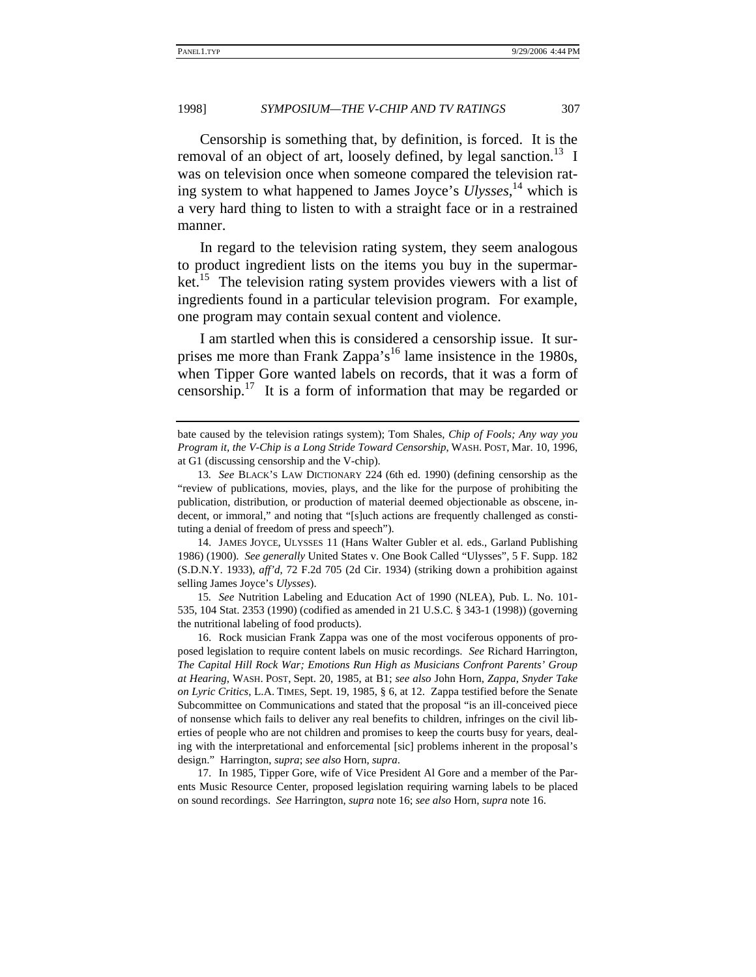Censorship is something that, by definition, is forced. It is the removal of an object of art, loosely defined, by legal sanction.<sup>13</sup> I was on television once when someone compared the television rating system to what happened to James Joyce's *Ulysses*, 14 which is a very hard thing to listen to with a straight face or in a restrained manner.

In regard to the television rating system, they seem analogous to product ingredient lists on the items you buy in the supermarket.<sup>15</sup> The television rating system provides viewers with a list of ingredients found in a particular television program. For example, one program may contain sexual content and violence.

I am startled when this is considered a censorship issue. It surprises me more than Frank Zappa's<sup>16</sup> lame insistence in the 1980s, when Tipper Gore wanted labels on records, that it was a form of censorship.17 It is a form of information that may be regarded or

14. JAMES JOYCE, ULYSSES 11 (Hans Walter Gubler et al. eds., Garland Publishing 1986) (1900). *See generally* United States v. One Book Called "Ulysses", 5 F. Supp. 182 (S.D.N.Y. 1933), *aff'd*, 72 F.2d 705 (2d Cir. 1934) (striking down a prohibition against selling James Joyce's *Ulysses*).

15*. See* Nutrition Labeling and Education Act of 1990 (NLEA), Pub. L. No. 101- 535, 104 Stat. 2353 (1990) (codified as amended in 21 U.S.C. § 343-1 (1998)) (governing the nutritional labeling of food products).

16. Rock musician Frank Zappa was one of the most vociferous opponents of proposed legislation to require content labels on music recordings. *See* Richard Harrington, *The Capital Hill Rock War; Emotions Run High as Musicians Confront Parents' Group at Hearing*, WASH. POST, Sept. 20, 1985, at B1; *see also* John Horn, *Zappa, Snyder Take on Lyric Critics*, L.A. TIMES, Sept. 19, 1985, § 6, at 12. Zappa testified before the Senate Subcommittee on Communications and stated that the proposal "is an ill-conceived piece of nonsense which fails to deliver any real benefits to children, infringes on the civil liberties of people who are not children and promises to keep the courts busy for years, dealing with the interpretational and enforcemental [sic] problems inherent in the proposal's design." Harrington, *supra*; *see also* Horn, *supra*.

17. In 1985, Tipper Gore, wife of Vice President Al Gore and a member of the Parents Music Resource Center, proposed legislation requiring warning labels to be placed on sound recordings. *See* Harrington, *supra* note 16; *see also* Horn, *supra* note 16.

bate caused by the television ratings system); Tom Shales, *Chip of Fools; Any way you Program it, the V-Chip is a Long Stride Toward Censorship*, WASH. POST, Mar. 10, 1996, at G1 (discussing censorship and the V-chip).

<sup>13</sup>*. See* BLACK'S LAW DICTIONARY 224 (6th ed. 1990) (defining censorship as the "review of publications, movies, plays, and the like for the purpose of prohibiting the publication, distribution, or production of material deemed objectionable as obscene, indecent, or immoral," and noting that "[s]uch actions are frequently challenged as constituting a denial of freedom of press and speech").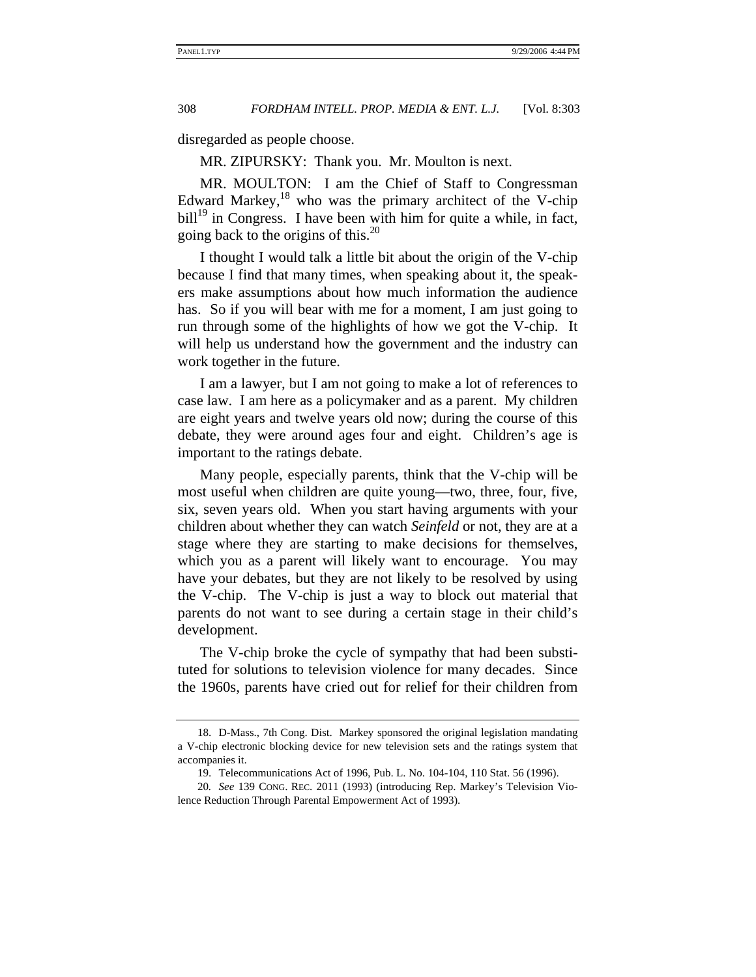disregarded as people choose.

MR. ZIPURSKY: Thank you. Mr. Moulton is next.

MR. MOULTON: I am the Chief of Staff to Congressman Edward Markey, $18$  who was the primary architect of the V-chip  $\text{bill}^{19}$  in Congress. I have been with him for quite a while, in fact, going back to the origins of this.<sup>20</sup>

I thought I would talk a little bit about the origin of the V-chip because I find that many times, when speaking about it, the speakers make assumptions about how much information the audience has. So if you will bear with me for a moment, I am just going to run through some of the highlights of how we got the V-chip. It will help us understand how the government and the industry can work together in the future.

I am a lawyer, but I am not going to make a lot of references to case law. I am here as a policymaker and as a parent. My children are eight years and twelve years old now; during the course of this debate, they were around ages four and eight. Children's age is important to the ratings debate.

Many people, especially parents, think that the V-chip will be most useful when children are quite young—two, three, four, five, six, seven years old. When you start having arguments with your children about whether they can watch *Seinfeld* or not, they are at a stage where they are starting to make decisions for themselves, which you as a parent will likely want to encourage. You may have your debates, but they are not likely to be resolved by using the V-chip. The V-chip is just a way to block out material that parents do not want to see during a certain stage in their child's development.

The V-chip broke the cycle of sympathy that had been substituted for solutions to television violence for many decades. Since the 1960s, parents have cried out for relief for their children from

<sup>18.</sup> D-Mass., 7th Cong. Dist. Markey sponsored the original legislation mandating a V-chip electronic blocking device for new television sets and the ratings system that accompanies it.

<sup>19.</sup> Telecommunications Act of 1996, Pub. L. No. 104-104, 110 Stat. 56 (1996).

<sup>20</sup>*. See* 139 CONG. REC. 2011 (1993) (introducing Rep. Markey's Television Violence Reduction Through Parental Empowerment Act of 1993).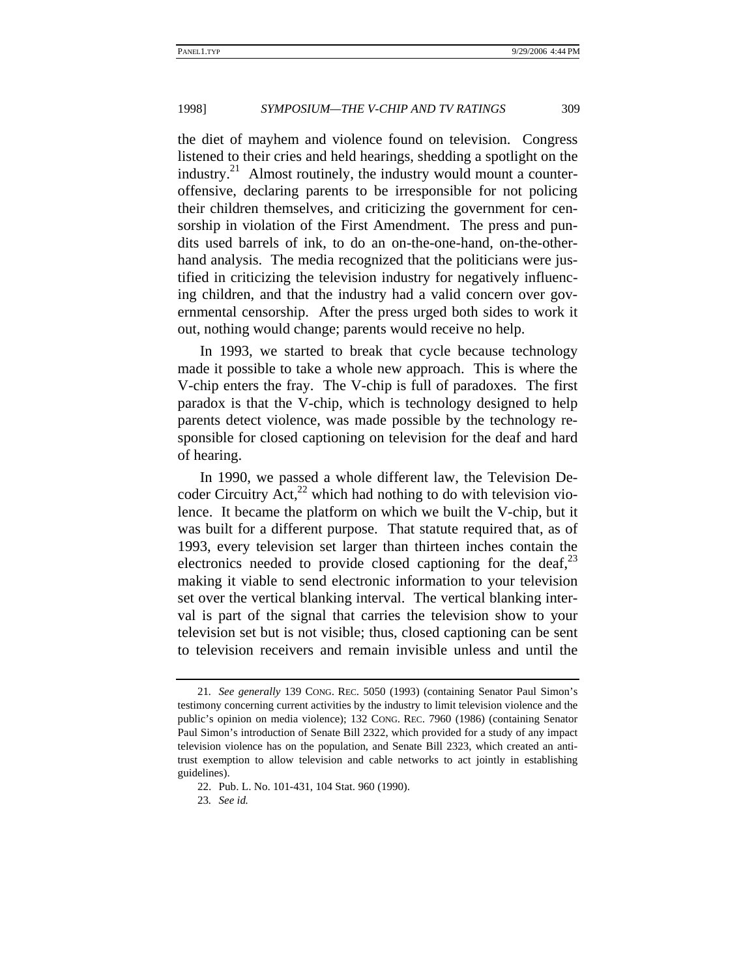the diet of mayhem and violence found on television. Congress listened to their cries and held hearings, shedding a spotlight on the industry. $21$  Almost routinely, the industry would mount a counteroffensive, declaring parents to be irresponsible for not policing their children themselves, and criticizing the government for censorship in violation of the First Amendment. The press and pundits used barrels of ink, to do an on-the-one-hand, on-the-otherhand analysis. The media recognized that the politicians were justified in criticizing the television industry for negatively influencing children, and that the industry had a valid concern over governmental censorship. After the press urged both sides to work it out, nothing would change; parents would receive no help.

In 1993, we started to break that cycle because technology made it possible to take a whole new approach. This is where the V-chip enters the fray. The V-chip is full of paradoxes. The first paradox is that the V-chip, which is technology designed to help parents detect violence, was made possible by the technology responsible for closed captioning on television for the deaf and hard of hearing.

In 1990, we passed a whole different law, the Television Decoder Circuitry  $Act<sub>1</sub><sup>22</sup>$  which had nothing to do with television violence. It became the platform on which we built the V-chip, but it was built for a different purpose. That statute required that, as of 1993, every television set larger than thirteen inches contain the electronics needed to provide closed captioning for the deaf, $^{23}$ making it viable to send electronic information to your television set over the vertical blanking interval. The vertical blanking interval is part of the signal that carries the television show to your television set but is not visible; thus, closed captioning can be sent to television receivers and remain invisible unless and until the

23*. See id.*

<sup>21</sup>*. See generally* 139 CONG. REC. 5050 (1993) (containing Senator Paul Simon's testimony concerning current activities by the industry to limit television violence and the public's opinion on media violence); 132 CONG. REC. 7960 (1986) (containing Senator Paul Simon's introduction of Senate Bill 2322, which provided for a study of any impact television violence has on the population, and Senate Bill 2323, which created an antitrust exemption to allow television and cable networks to act jointly in establishing guidelines).

<sup>22.</sup> Pub. L. No. 101-431, 104 Stat. 960 (1990).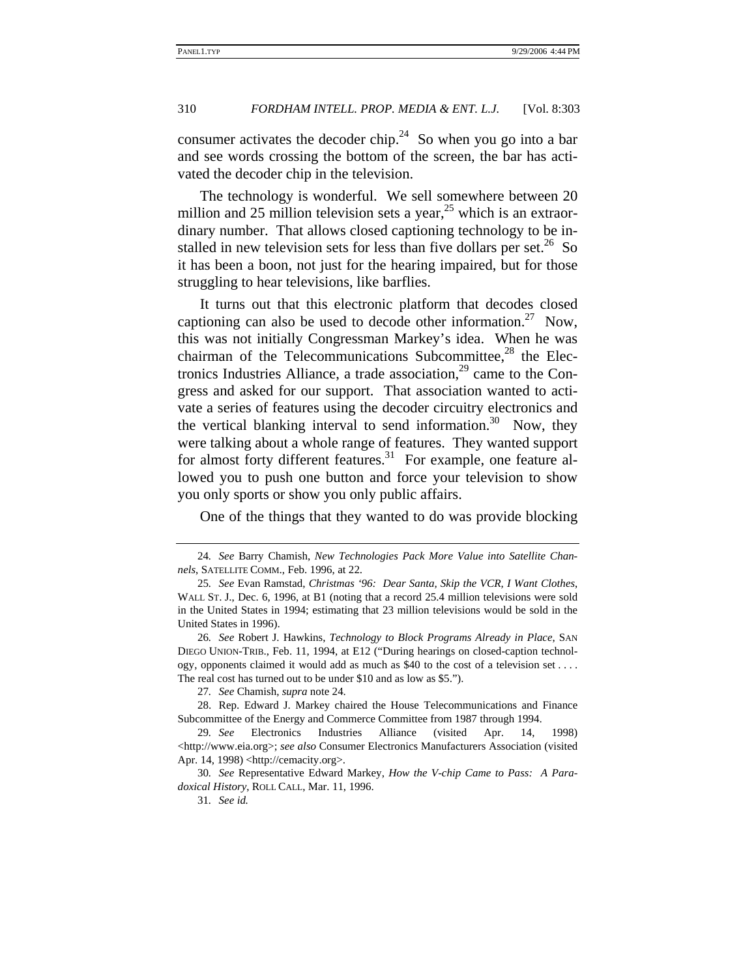consumer activates the decoder chip.<sup>24</sup> So when you go into a bar and see words crossing the bottom of the screen, the bar has activated the decoder chip in the television.

The technology is wonderful. We sell somewhere between 20 million and 25 million television sets a year,<sup>25</sup> which is an extraordinary number. That allows closed captioning technology to be installed in new television sets for less than five dollars per set.<sup>26</sup> So it has been a boon, not just for the hearing impaired, but for those struggling to hear televisions, like barflies.

It turns out that this electronic platform that decodes closed captioning can also be used to decode other information.<sup>27</sup> Now, this was not initially Congressman Markey's idea. When he was chairman of the Telecommunications Subcommittee, $^{28}$  the Electronics Industries Alliance, a trade association,  $2^9$  came to the Congress and asked for our support. That association wanted to activate a series of features using the decoder circuitry electronics and the vertical blanking interval to send information.<sup>30</sup> Now, they were talking about a whole range of features. They wanted support for almost forty different features.<sup>31</sup> For example, one feature allowed you to push one button and force your television to show you only sports or show you only public affairs.

One of the things that they wanted to do was provide blocking

<sup>24</sup>*. See* Barry Chamish, *New Technologies Pack More Value into Satellite Channels*, SATELLITE COMM., Feb. 1996, at 22.

<sup>25</sup>*. See* Evan Ramstad, *Christmas '96: Dear Santa, Skip the VCR, I Want Clothes*, WALL ST. J., Dec. 6, 1996, at B1 (noting that a record 25.4 million televisions were sold in the United States in 1994; estimating that 23 million televisions would be sold in the United States in 1996).

<sup>26</sup>*. See* Robert J. Hawkins, *Technology to Block Programs Already in Place*, SAN DIEGO UNION-TRIB., Feb. 11, 1994, at E12 ("During hearings on closed-caption technology, opponents claimed it would add as much as \$40 to the cost of a television set . . . . The real cost has turned out to be under \$10 and as low as \$5.").

<sup>27</sup>*. See* Chamish, *supra* note 24.

<sup>28.</sup> Rep. Edward J. Markey chaired the House Telecommunications and Finance Subcommittee of the Energy and Commerce Committee from 1987 through 1994.

<sup>29</sup>*. See* Electronics Industries Alliance (visited Apr. 14, 1998) <http://www.eia.org>; see also Consumer Electronics Manufacturers Association (visited Apr. 14, 1998) <http://cemacity.org>.

<sup>30</sup>*. See* Representative Edward Markey, *How the V-chip Came to Pass: A Paradoxical History*, ROLL CALL, Mar. 11, 1996.

<sup>31</sup>*. See id.*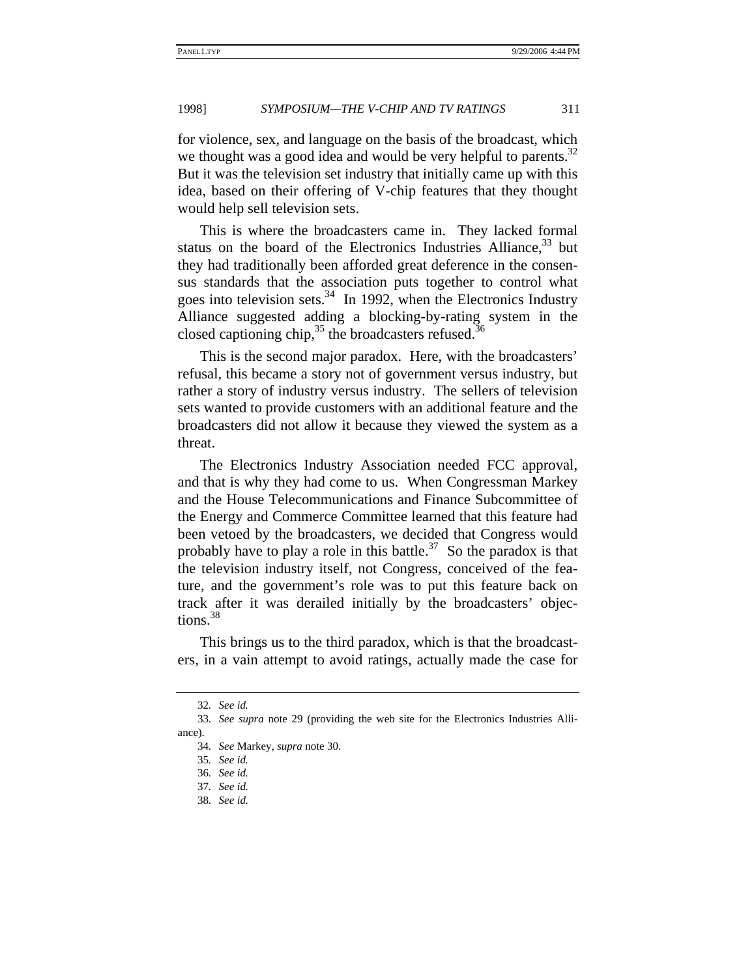for violence, sex, and language on the basis of the broadcast, which we thought was a good idea and would be very helpful to parents. $32$ But it was the television set industry that initially came up with this idea, based on their offering of V-chip features that they thought would help sell television sets.

This is where the broadcasters came in. They lacked formal status on the board of the Electronics Industries Alliance,  $33$  but they had traditionally been afforded great deference in the consensus standards that the association puts together to control what goes into television sets. $34$  In 1992, when the Electronics Industry Alliance suggested adding a blocking-by-rating system in the closed captioning chip,  $^{35}$  the broadcasters refused.<sup>36</sup>

This is the second major paradox. Here, with the broadcasters' refusal, this became a story not of government versus industry, but rather a story of industry versus industry. The sellers of television sets wanted to provide customers with an additional feature and the broadcasters did not allow it because they viewed the system as a threat.

The Electronics Industry Association needed FCC approval, and that is why they had come to us. When Congressman Markey and the House Telecommunications and Finance Subcommittee of the Energy and Commerce Committee learned that this feature had been vetoed by the broadcasters, we decided that Congress would probably have to play a role in this battle.<sup>37</sup> So the paradox is that the television industry itself, not Congress, conceived of the feature, and the government's role was to put this feature back on track after it was derailed initially by the broadcasters' objections.<sup>38</sup>

This brings us to the third paradox, which is that the broadcasters, in a vain attempt to avoid ratings, actually made the case for

<sup>32</sup>*. See id.*

<sup>33</sup>*. See supra* note 29 (providing the web site for the Electronics Industries Alliance).

<sup>34</sup>*. See* Markey, *supra* note 30.

<sup>35</sup>*. See id.*

<sup>36</sup>*. See id.*

<sup>37</sup>*. See id.*

<sup>38</sup>*. See id.*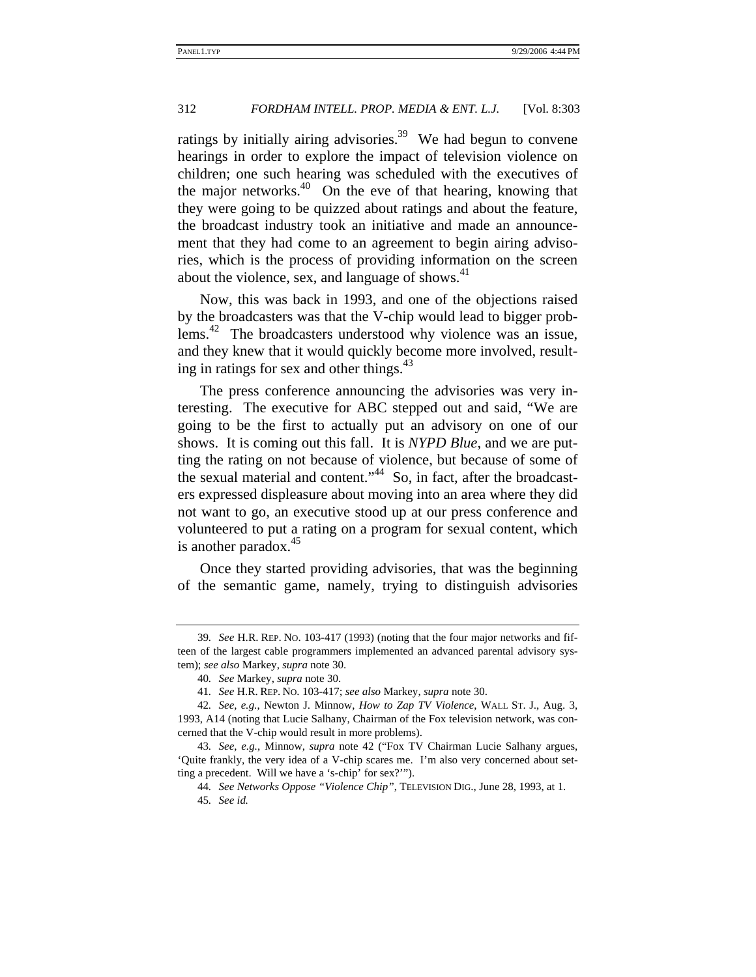ratings by initially airing advisories.<sup>39</sup> We had begun to convene hearings in order to explore the impact of television violence on children; one such hearing was scheduled with the executives of the major networks. $40$  On the eve of that hearing, knowing that they were going to be quizzed about ratings and about the feature, the broadcast industry took an initiative and made an announcement that they had come to an agreement to begin airing advisories, which is the process of providing information on the screen about the violence, sex, and language of shows.<sup>41</sup>

Now, this was back in 1993, and one of the objections raised by the broadcasters was that the V-chip would lead to bigger problems.<sup>42</sup> The broadcasters understood why violence was an issue, and they knew that it would quickly become more involved, resulting in ratings for sex and other things.<sup>43</sup>

The press conference announcing the advisories was very interesting. The executive for ABC stepped out and said, "We are going to be the first to actually put an advisory on one of our shows. It is coming out this fall. It is *NYPD Blue*, and we are putting the rating on not because of violence, but because of some of the sexual material and content."<sup>44</sup> So, in fact, after the broadcasters expressed displeasure about moving into an area where they did not want to go, an executive stood up at our press conference and volunteered to put a rating on a program for sexual content, which is another paradox.<sup>45</sup>

Once they started providing advisories, that was the beginning of the semantic game, namely, trying to distinguish advisories

<sup>39</sup>*. See* H.R. REP. NO. 103-417 (1993) (noting that the four major networks and fifteen of the largest cable programmers implemented an advanced parental advisory system); *see also* Markey, *supra* note 30.

<sup>40</sup>*. See* Markey, *supra* note 30.

<sup>41</sup>*. See* H.R. REP. NO. 103-417; *see also* Markey, *supra* note 30.

<sup>42</sup>*. See, e.g.*, Newton J. Minnow, *How to Zap TV Violence*, WALL ST. J., Aug. 3, 1993, A14 (noting that Lucie Salhany, Chairman of the Fox television network, was concerned that the V-chip would result in more problems).

<sup>43</sup>*. See, e.g.*, Minnow, *supra* note 42 ("Fox TV Chairman Lucie Salhany argues, 'Quite frankly, the very idea of a V-chip scares me. I'm also very concerned about setting a precedent. Will we have a 's-chip' for sex?'").

<sup>44</sup>*. See Networks Oppose "Violence Chip"*, TELEVISION DIG., June 28, 1993, at 1. 45*. See id.*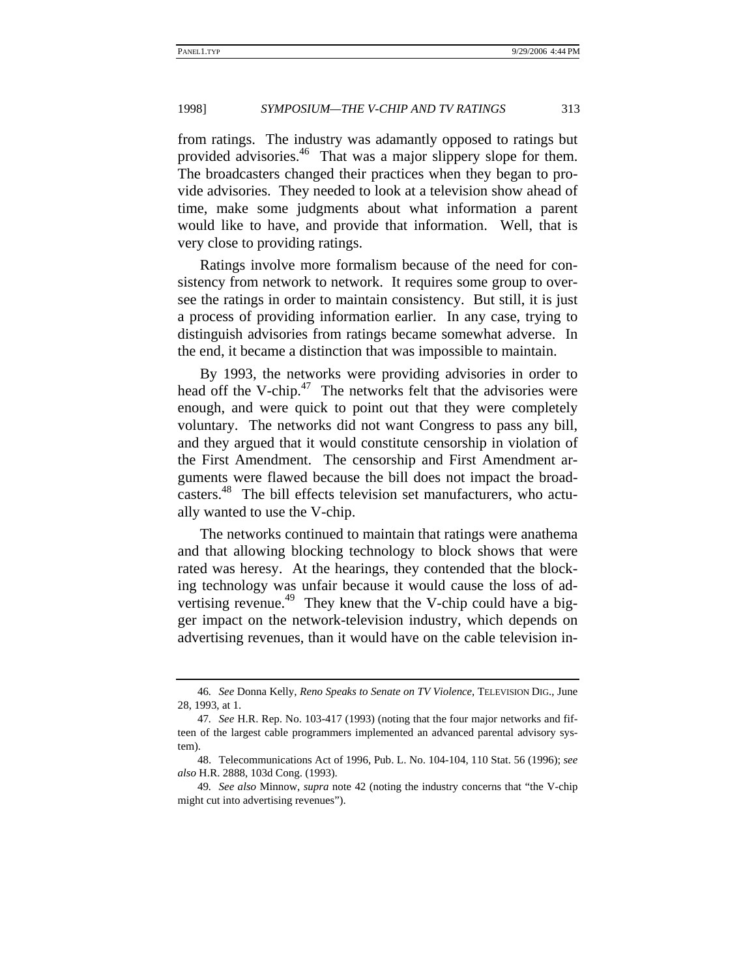from ratings. The industry was adamantly opposed to ratings but provided advisories.46 That was a major slippery slope for them. The broadcasters changed their practices when they began to provide advisories. They needed to look at a television show ahead of time, make some judgments about what information a parent would like to have, and provide that information. Well, that is very close to providing ratings.

Ratings involve more formalism because of the need for consistency from network to network. It requires some group to oversee the ratings in order to maintain consistency. But still, it is just a process of providing information earlier. In any case, trying to distinguish advisories from ratings became somewhat adverse. In the end, it became a distinction that was impossible to maintain.

By 1993, the networks were providing advisories in order to head off the V-chip. $47$  The networks felt that the advisories were enough, and were quick to point out that they were completely voluntary. The networks did not want Congress to pass any bill, and they argued that it would constitute censorship in violation of the First Amendment. The censorship and First Amendment arguments were flawed because the bill does not impact the broadcasters.48 The bill effects television set manufacturers, who actually wanted to use the V-chip.

The networks continued to maintain that ratings were anathema and that allowing blocking technology to block shows that were rated was heresy. At the hearings, they contended that the blocking technology was unfair because it would cause the loss of advertising revenue.<sup>49</sup> They knew that the V-chip could have a bigger impact on the network-television industry, which depends on advertising revenues, than it would have on the cable television in-

<sup>46</sup>*. See* Donna Kelly, *Reno Speaks to Senate on TV Violence*, TELEVISION DIG., June 28, 1993, at 1.

<sup>47</sup>*. See* H.R. Rep. No. 103-417 (1993) (noting that the four major networks and fifteen of the largest cable programmers implemented an advanced parental advisory system).

<sup>48.</sup> Telecommunications Act of 1996, Pub. L. No. 104-104, 110 Stat. 56 (1996); *see also* H.R. 2888, 103d Cong. (1993).

<sup>49</sup>*. See also* Minnow, *supra* note 42 (noting the industry concerns that "the V-chip might cut into advertising revenues").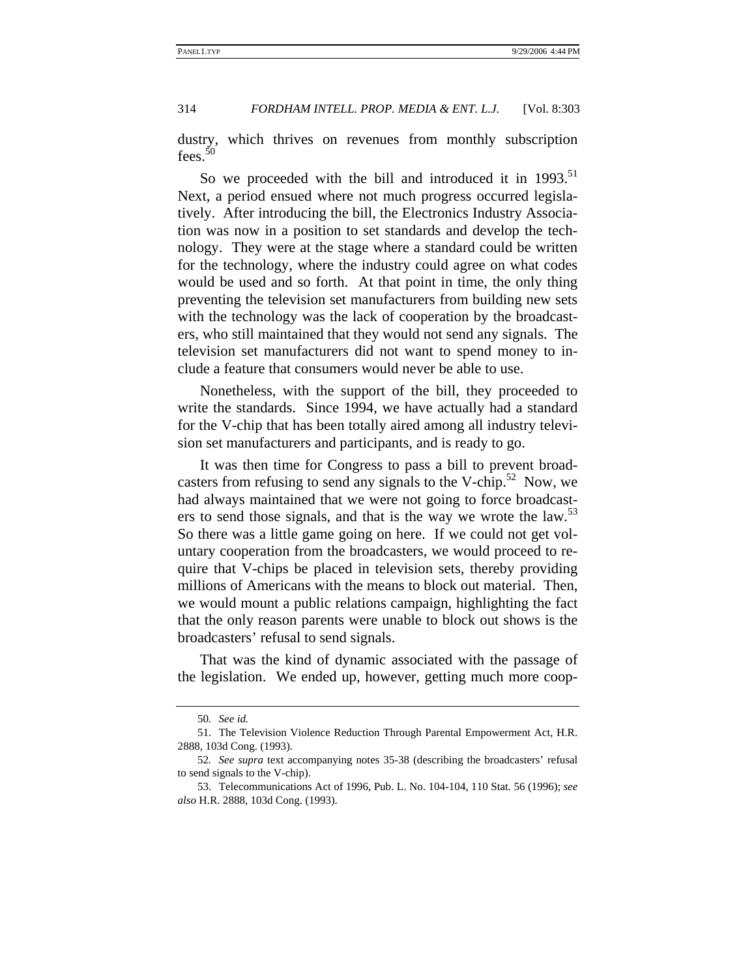dustry, which thrives on revenues from monthly subscription fees.<sup>50</sup>

So we proceeded with the bill and introduced it in  $1993$ .<sup>51</sup> Next, a period ensued where not much progress occurred legislatively. After introducing the bill, the Electronics Industry Association was now in a position to set standards and develop the technology. They were at the stage where a standard could be written for the technology, where the industry could agree on what codes would be used and so forth. At that point in time, the only thing preventing the television set manufacturers from building new sets with the technology was the lack of cooperation by the broadcasters, who still maintained that they would not send any signals. The television set manufacturers did not want to spend money to include a feature that consumers would never be able to use.

Nonetheless, with the support of the bill, they proceeded to write the standards. Since 1994, we have actually had a standard for the V-chip that has been totally aired among all industry television set manufacturers and participants, and is ready to go.

It was then time for Congress to pass a bill to prevent broadcasters from refusing to send any signals to the V-chip.<sup>52</sup> Now, we had always maintained that we were not going to force broadcasters to send those signals, and that is the way we wrote the law.<sup>53</sup> So there was a little game going on here. If we could not get voluntary cooperation from the broadcasters, we would proceed to require that V-chips be placed in television sets, thereby providing millions of Americans with the means to block out material. Then, we would mount a public relations campaign, highlighting the fact that the only reason parents were unable to block out shows is the broadcasters' refusal to send signals.

That was the kind of dynamic associated with the passage of the legislation. We ended up, however, getting much more coop-

<sup>50</sup>*. See id.*

<sup>51.</sup> The Television Violence Reduction Through Parental Empowerment Act, H.R. 2888, 103d Cong. (1993).

<sup>52</sup>*. See supra* text accompanying notes 35-38 (describing the broadcasters' refusal to send signals to the V-chip).

<sup>53.</sup> Telecommunications Act of 1996, Pub. L. No. 104-104, 110 Stat. 56 (1996); *see also* H.R. 2888, 103d Cong. (1993).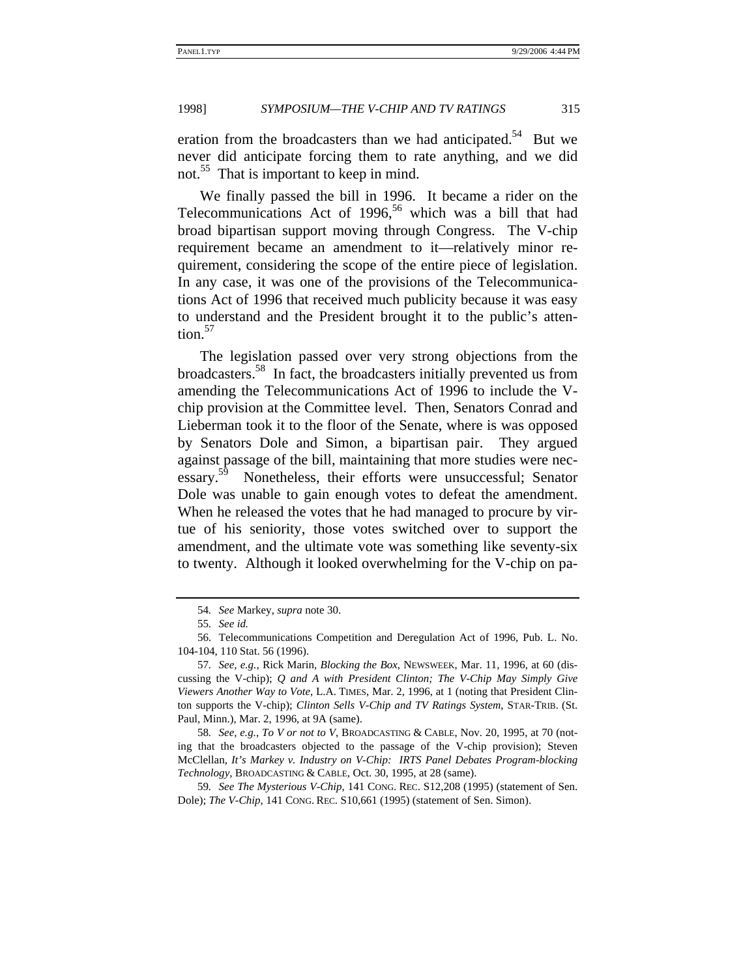eration from the broadcasters than we had anticipated.<sup>54</sup> But we never did anticipate forcing them to rate anything, and we did not.<sup>55</sup> That is important to keep in mind.

We finally passed the bill in 1996. It became a rider on the Telecommunications Act of 1996,<sup>56</sup> which was a bill that had broad bipartisan support moving through Congress. The V-chip requirement became an amendment to it—relatively minor requirement, considering the scope of the entire piece of legislation. In any case, it was one of the provisions of the Telecommunications Act of 1996 that received much publicity because it was easy to understand and the President brought it to the public's attention.<sup>57</sup>

The legislation passed over very strong objections from the broadcasters.58 In fact, the broadcasters initially prevented us from amending the Telecommunications Act of 1996 to include the Vchip provision at the Committee level. Then, Senators Conrad and Lieberman took it to the floor of the Senate, where is was opposed by Senators Dole and Simon, a bipartisan pair. They argued against passage of the bill, maintaining that more studies were necessary.<sup>59</sup> Nonetheless, their efforts were unsuccessful; Senator Dole was unable to gain enough votes to defeat the amendment. When he released the votes that he had managed to procure by virtue of his seniority, those votes switched over to support the amendment, and the ultimate vote was something like seventy-six to twenty. Although it looked overwhelming for the V-chip on pa-

<sup>54</sup>*. See* Markey, *supra* note 30.

<sup>55</sup>*. See id.*

<sup>56.</sup> Telecommunications Competition and Deregulation Act of 1996, Pub. L. No. 104-104, 110 Stat. 56 (1996).

<sup>57</sup>*. See, e.g.*, Rick Marin, *Blocking the Box*, NEWSWEEK, Mar. 11, 1996, at 60 (discussing the V-chip); *Q and A with President Clinton; The V-Chip May Simply Give Viewers Another Way to Vote*, L.A. TIMES, Mar. 2, 1996, at 1 (noting that President Clinton supports the V-chip); *Clinton Sells V-Chip and TV Ratings System*, STAR-TRIB. (St. Paul, Minn.), Mar. 2, 1996, at 9A (same).

<sup>58</sup>*. See, e.g.*, *To V or not to V*, BROADCASTING & CABLE, Nov. 20, 1995, at 70 (noting that the broadcasters objected to the passage of the V-chip provision); Steven McClellan, *It's Markey v. Industry on V-Chip: IRTS Panel Debates Program-blocking Technology*, BROADCASTING & CABLE, Oct. 30, 1995, at 28 (same).

<sup>59</sup>*. See The Mysterious V-Chip*, 141 CONG. REC. S12,208 (1995) (statement of Sen. Dole); *The V-Chip*, 141 CONG. REC. S10,661 (1995) (statement of Sen. Simon).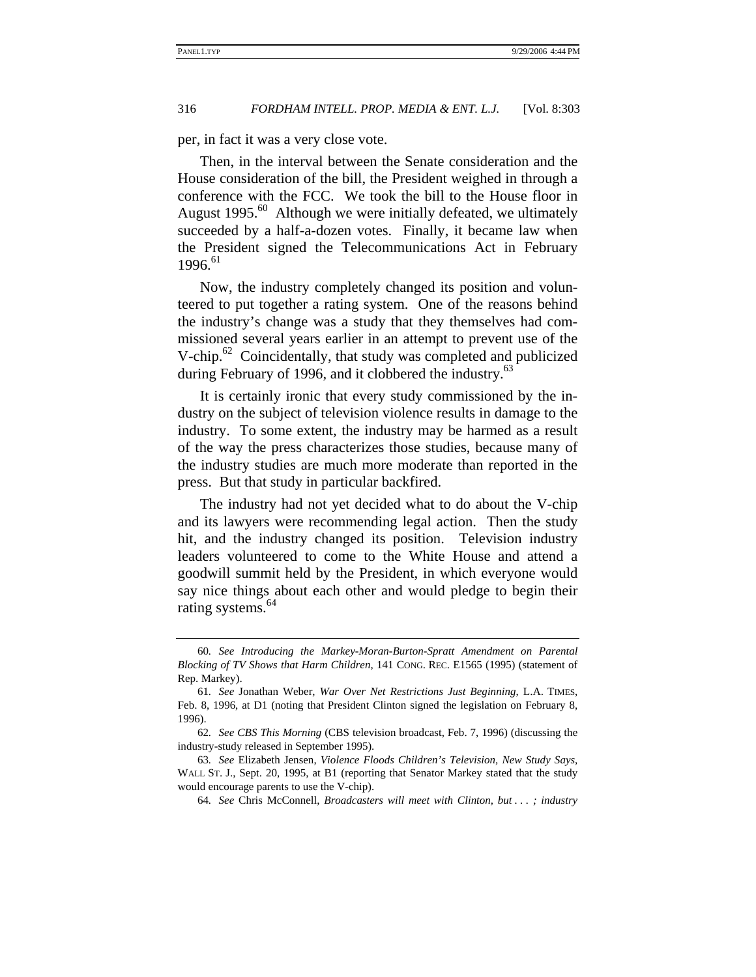per, in fact it was a very close vote.

Then, in the interval between the Senate consideration and the House consideration of the bill, the President weighed in through a conference with the FCC. We took the bill to the House floor in August  $1995<sup>60</sup>$  Although we were initially defeated, we ultimately succeeded by a half-a-dozen votes. Finally, it became law when the President signed the Telecommunications Act in February  $1996^{61}$ 

Now, the industry completely changed its position and volunteered to put together a rating system. One of the reasons behind the industry's change was a study that they themselves had commissioned several years earlier in an attempt to prevent use of the V-chip. $62$  Coincidentally, that study was completed and publicized during February of 1996, and it clobbered the industry.<sup>63</sup>

It is certainly ironic that every study commissioned by the industry on the subject of television violence results in damage to the industry. To some extent, the industry may be harmed as a result of the way the press characterizes those studies, because many of the industry studies are much more moderate than reported in the press. But that study in particular backfired.

The industry had not yet decided what to do about the V-chip and its lawyers were recommending legal action. Then the study hit, and the industry changed its position. Television industry leaders volunteered to come to the White House and attend a goodwill summit held by the President, in which everyone would say nice things about each other and would pledge to begin their rating systems.<sup>64</sup>

64*. See* Chris McConnell, *Broadcasters will meet with Clinton, but . . . ; industry* 

<sup>60</sup>*. See Introducing the Markey-Moran-Burton-Spratt Amendment on Parental Blocking of TV Shows that Harm Children*, 141 CONG. REC. E1565 (1995) (statement of Rep. Markey).

<sup>61</sup>*. See* Jonathan Weber, *War Over Net Restrictions Just Beginning*, L.A. TIMES, Feb. 8, 1996, at D1 (noting that President Clinton signed the legislation on February 8, 1996).

<sup>62</sup>*. See CBS This Morning* (CBS television broadcast, Feb. 7, 1996) (discussing the industry-study released in September 1995).

<sup>63</sup>*. See* Elizabeth Jensen, *Violence Floods Children's Television, New Study Says*, WALL ST. J., Sept. 20, 1995, at B1 (reporting that Senator Markey stated that the study would encourage parents to use the V-chip).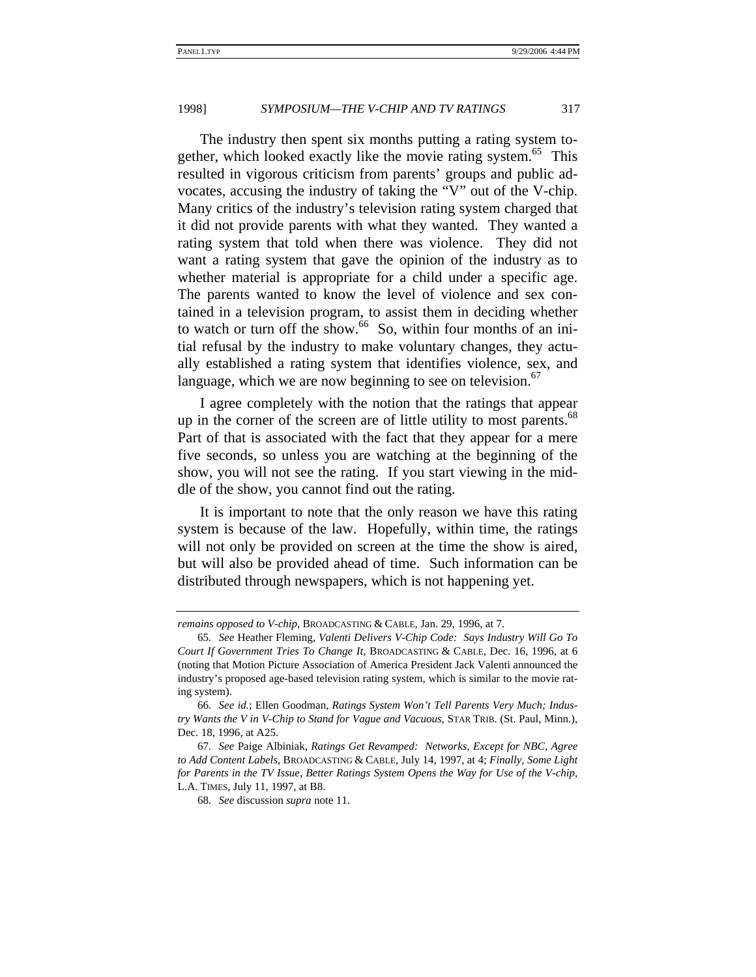The industry then spent six months putting a rating system together, which looked exactly like the movie rating system.<sup>65</sup> This resulted in vigorous criticism from parents' groups and public advocates, accusing the industry of taking the "V" out of the V-chip. Many critics of the industry's television rating system charged that it did not provide parents with what they wanted. They wanted a rating system that told when there was violence. They did not want a rating system that gave the opinion of the industry as to whether material is appropriate for a child under a specific age. The parents wanted to know the level of violence and sex contained in a television program, to assist them in deciding whether to watch or turn off the show. $66\,$  So, within four months of an initial refusal by the industry to make voluntary changes, they actually established a rating system that identifies violence, sex, and language, which we are now beginning to see on television. $\frac{6}{7}$ 

I agree completely with the notion that the ratings that appear up in the corner of the screen are of little utility to most parents.<sup>68</sup> Part of that is associated with the fact that they appear for a mere five seconds, so unless you are watching at the beginning of the show, you will not see the rating. If you start viewing in the middle of the show, you cannot find out the rating.

It is important to note that the only reason we have this rating system is because of the law. Hopefully, within time, the ratings will not only be provided on screen at the time the show is aired, but will also be provided ahead of time. Such information can be distributed through newspapers, which is not happening yet.

*remains opposed to V-chip*, BROADCASTING & CABLE, Jan. 29, 1996, at 7.

<sup>65</sup>*. See* Heather Fleming, *Valenti Delivers V-Chip Code: Says Industry Will Go To Court If Government Tries To Change It*, BROADCASTING & CABLE, Dec. 16, 1996, at 6 (noting that Motion Picture Association of America President Jack Valenti announced the industry's proposed age-based television rating system, which is similar to the movie rating system).

<sup>66</sup>*. See id.*; Ellen Goodman, *Ratings System Won't Tell Parents Very Much; Industry Wants the V in V-Chip to Stand for Vague and Vacuous*, STAR TRIB. (St. Paul, Minn.), Dec. 18, 1996, at A25.

<sup>67</sup>*. See* Paige Albiniak, *Ratings Get Revamped: Networks, Except for NBC, Agree to Add Content Labels*, BROADCASTING & CABLE, July 14, 1997, at 4; *Finally, Some Light for Parents in the TV Issue, Better Ratings System Opens the Way for Use of the V-chip*, L.A. TIMES, July 11, 1997, at B8.

<sup>68</sup>*. See* discussion *supra* note 11.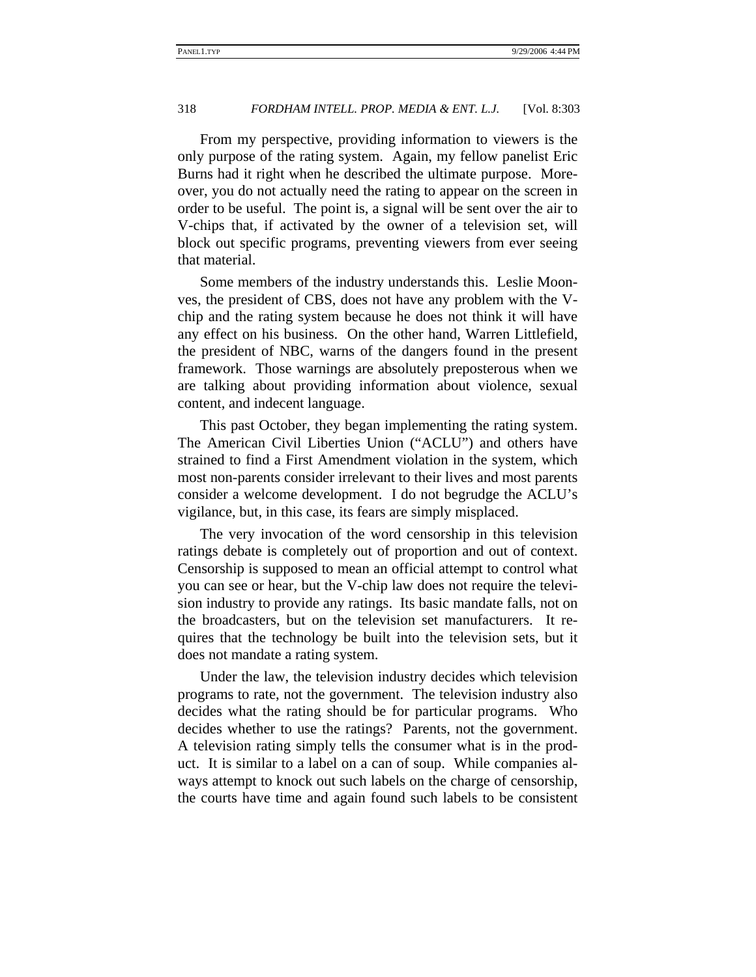From my perspective, providing information to viewers is the only purpose of the rating system. Again, my fellow panelist Eric Burns had it right when he described the ultimate purpose. Moreover, you do not actually need the rating to appear on the screen in order to be useful. The point is, a signal will be sent over the air to V-chips that, if activated by the owner of a television set, will block out specific programs, preventing viewers from ever seeing that material.

Some members of the industry understands this. Leslie Moonves, the president of CBS, does not have any problem with the Vchip and the rating system because he does not think it will have any effect on his business. On the other hand, Warren Littlefield, the president of NBC, warns of the dangers found in the present framework. Those warnings are absolutely preposterous when we are talking about providing information about violence, sexual content, and indecent language.

This past October, they began implementing the rating system. The American Civil Liberties Union ("ACLU") and others have strained to find a First Amendment violation in the system, which most non-parents consider irrelevant to their lives and most parents consider a welcome development. I do not begrudge the ACLU's vigilance, but, in this case, its fears are simply misplaced.

The very invocation of the word censorship in this television ratings debate is completely out of proportion and out of context. Censorship is supposed to mean an official attempt to control what you can see or hear, but the V-chip law does not require the television industry to provide any ratings. Its basic mandate falls, not on the broadcasters, but on the television set manufacturers. It requires that the technology be built into the television sets, but it does not mandate a rating system.

Under the law, the television industry decides which television programs to rate, not the government. The television industry also decides what the rating should be for particular programs. Who decides whether to use the ratings? Parents, not the government. A television rating simply tells the consumer what is in the product. It is similar to a label on a can of soup. While companies always attempt to knock out such labels on the charge of censorship, the courts have time and again found such labels to be consistent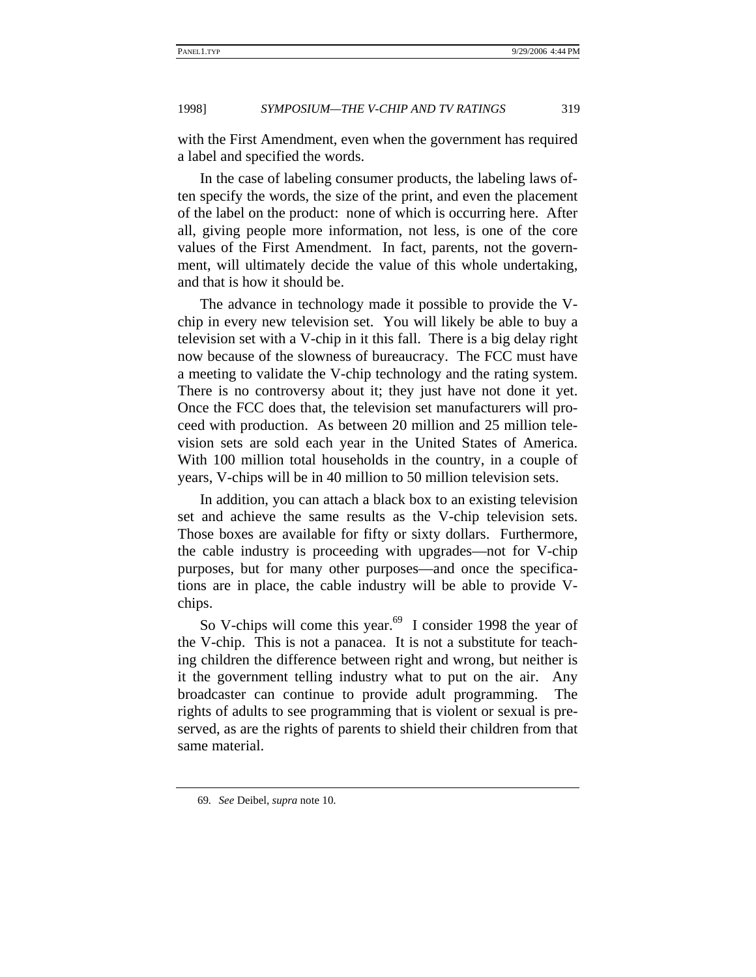with the First Amendment, even when the government has required a label and specified the words.

In the case of labeling consumer products, the labeling laws often specify the words, the size of the print, and even the placement of the label on the product: none of which is occurring here. After all, giving people more information, not less, is one of the core values of the First Amendment. In fact, parents, not the government, will ultimately decide the value of this whole undertaking, and that is how it should be.

The advance in technology made it possible to provide the Vchip in every new television set. You will likely be able to buy a television set with a V-chip in it this fall. There is a big delay right now because of the slowness of bureaucracy. The FCC must have a meeting to validate the V-chip technology and the rating system. There is no controversy about it; they just have not done it yet. Once the FCC does that, the television set manufacturers will proceed with production. As between 20 million and 25 million television sets are sold each year in the United States of America. With 100 million total households in the country, in a couple of years, V-chips will be in 40 million to 50 million television sets.

In addition, you can attach a black box to an existing television set and achieve the same results as the V-chip television sets. Those boxes are available for fifty or sixty dollars. Furthermore, the cable industry is proceeding with upgrades—not for V-chip purposes, but for many other purposes—and once the specifications are in place, the cable industry will be able to provide Vchips.

So V-chips will come this year.<sup>69</sup> I consider 1998 the year of the V-chip. This is not a panacea. It is not a substitute for teaching children the difference between right and wrong, but neither is it the government telling industry what to put on the air. Any broadcaster can continue to provide adult programming. The rights of adults to see programming that is violent or sexual is preserved, as are the rights of parents to shield their children from that same material.

<sup>69</sup>*. See* Deibel, *supra* note 10.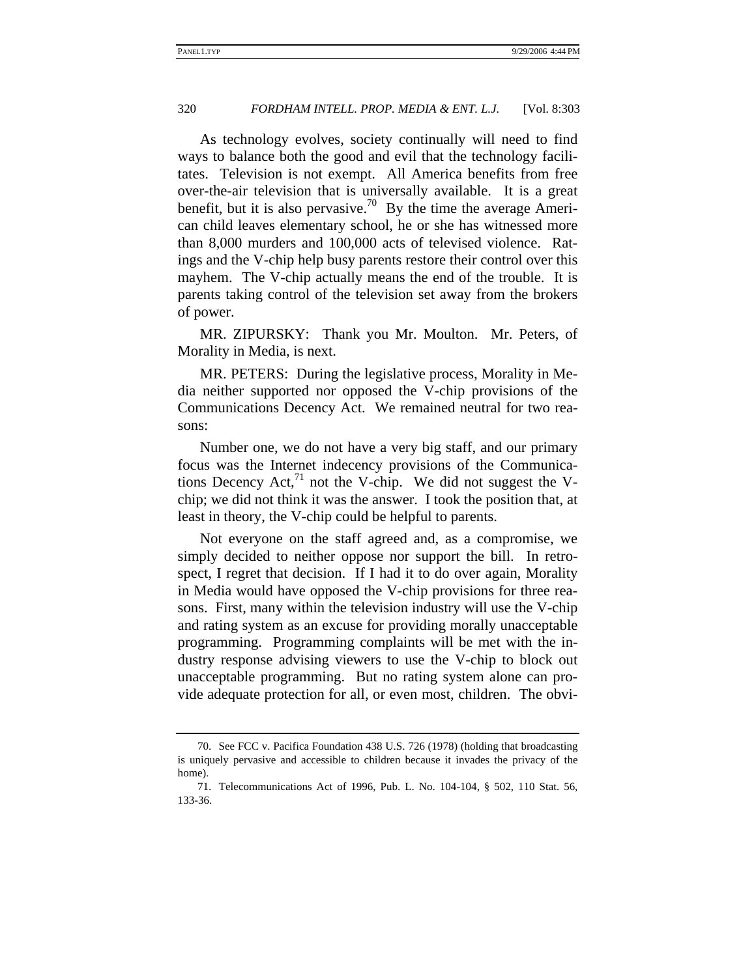As technology evolves, society continually will need to find ways to balance both the good and evil that the technology facilitates. Television is not exempt. All America benefits from free over-the-air television that is universally available. It is a great benefit, but it is also pervasive.<sup>70</sup> By the time the average American child leaves elementary school, he or she has witnessed more than 8,000 murders and 100,000 acts of televised violence. Ratings and the V-chip help busy parents restore their control over this mayhem. The V-chip actually means the end of the trouble. It is parents taking control of the television set away from the brokers of power.

MR. ZIPURSKY: Thank you Mr. Moulton. Mr. Peters, of Morality in Media, is next.

MR. PETERS: During the legislative process, Morality in Media neither supported nor opposed the V-chip provisions of the Communications Decency Act. We remained neutral for two reasons:

Number one, we do not have a very big staff, and our primary focus was the Internet indecency provisions of the Communications Decency  $Act<sub>1</sub><sup>71</sup>$  not the V-chip. We did not suggest the Vchip; we did not think it was the answer. I took the position that, at least in theory, the V-chip could be helpful to parents.

Not everyone on the staff agreed and, as a compromise, we simply decided to neither oppose nor support the bill. In retrospect, I regret that decision. If I had it to do over again, Morality in Media would have opposed the V-chip provisions for three reasons. First, many within the television industry will use the V-chip and rating system as an excuse for providing morally unacceptable programming. Programming complaints will be met with the industry response advising viewers to use the V-chip to block out unacceptable programming. But no rating system alone can provide adequate protection for all, or even most, children. The obvi-

<sup>70.</sup> See FCC v. Pacifica Foundation 438 U.S. 726 (1978) (holding that broadcasting is uniquely pervasive and accessible to children because it invades the privacy of the home).

<sup>71.</sup> Telecommunications Act of 1996, Pub. L. No. 104-104, § 502, 110 Stat. 56, 133-36.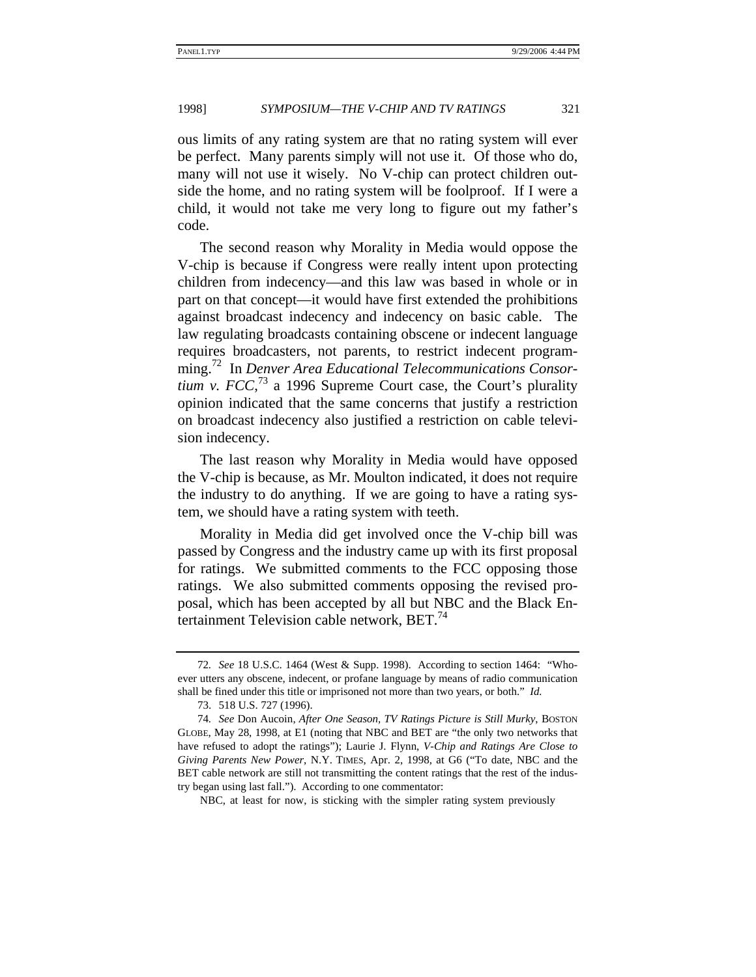ous limits of any rating system are that no rating system will ever be perfect. Many parents simply will not use it. Of those who do, many will not use it wisely. No V-chip can protect children outside the home, and no rating system will be foolproof. If I were a child, it would not take me very long to figure out my father's code.

The second reason why Morality in Media would oppose the V-chip is because if Congress were really intent upon protecting children from indecency—and this law was based in whole or in part on that concept—it would have first extended the prohibitions against broadcast indecency and indecency on basic cable. The law regulating broadcasts containing obscene or indecent language requires broadcasters, not parents, to restrict indecent programming.72 In *Denver Area Educational Telecommunications Consortium v. FCC*<sup> $73$ </sup> a 1996 Supreme Court case, the Court's plurality opinion indicated that the same concerns that justify a restriction on broadcast indecency also justified a restriction on cable television indecency.

The last reason why Morality in Media would have opposed the V-chip is because, as Mr. Moulton indicated, it does not require the industry to do anything. If we are going to have a rating system, we should have a rating system with teeth.

Morality in Media did get involved once the V-chip bill was passed by Congress and the industry came up with its first proposal for ratings. We submitted comments to the FCC opposing those ratings. We also submitted comments opposing the revised proposal, which has been accepted by all but NBC and the Black Entertainment Television cable network, BET.<sup>74</sup>

NBC, at least for now, is sticking with the simpler rating system previously

<sup>72</sup>*. See* 18 U.S.C. 1464 (West & Supp. 1998). According to section 1464: "Whoever utters any obscene, indecent, or profane language by means of radio communication shall be fined under this title or imprisoned not more than two years, or both." *Id.*

<sup>73. 518</sup> U.S. 727 (1996).

<sup>74</sup>*. See* Don Aucoin, *After One Season, TV Ratings Picture is Still Murky*, BOSTON GLOBE, May 28, 1998, at E1 (noting that NBC and BET are "the only two networks that have refused to adopt the ratings"); Laurie J. Flynn, *V-Chip and Ratings Are Close to Giving Parents New Power*, N.Y. TIMES, Apr. 2, 1998, at G6 ("To date, NBC and the BET cable network are still not transmitting the content ratings that the rest of the industry began using last fall."). According to one commentator: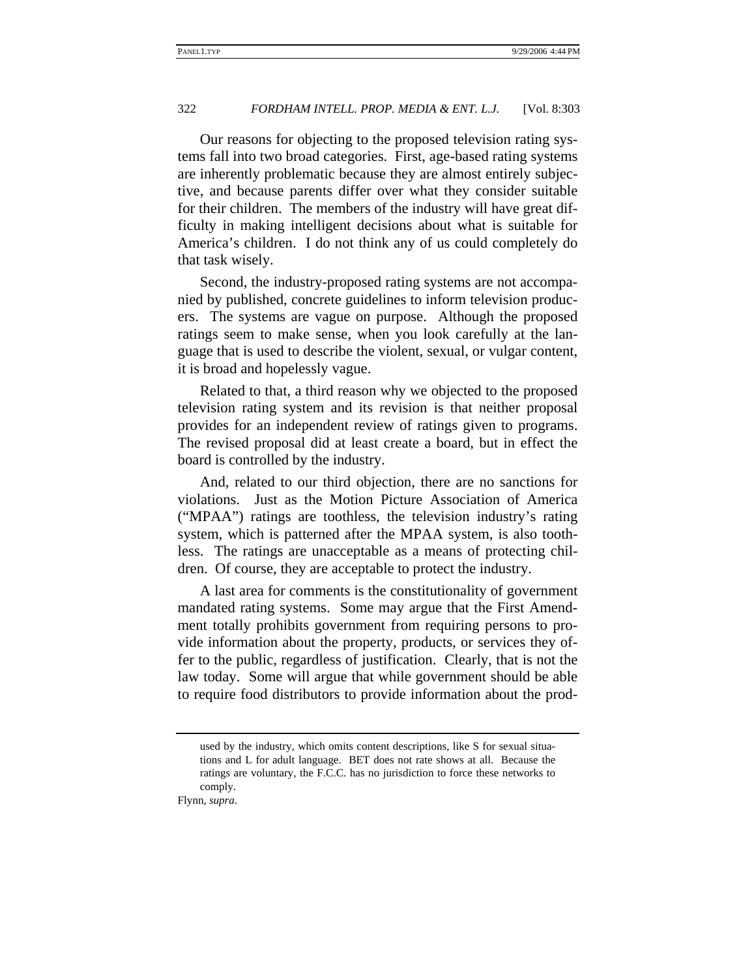Our reasons for objecting to the proposed television rating systems fall into two broad categories. First, age-based rating systems are inherently problematic because they are almost entirely subjective, and because parents differ over what they consider suitable for their children. The members of the industry will have great difficulty in making intelligent decisions about what is suitable for America's children. I do not think any of us could completely do that task wisely.

Second, the industry-proposed rating systems are not accompanied by published, concrete guidelines to inform television producers. The systems are vague on purpose. Although the proposed ratings seem to make sense, when you look carefully at the language that is used to describe the violent, sexual, or vulgar content, it is broad and hopelessly vague.

Related to that, a third reason why we objected to the proposed television rating system and its revision is that neither proposal provides for an independent review of ratings given to programs. The revised proposal did at least create a board, but in effect the board is controlled by the industry.

And, related to our third objection, there are no sanctions for violations. Just as the Motion Picture Association of America ("MPAA") ratings are toothless, the television industry's rating system, which is patterned after the MPAA system, is also toothless. The ratings are unacceptable as a means of protecting children. Of course, they are acceptable to protect the industry.

A last area for comments is the constitutionality of government mandated rating systems. Some may argue that the First Amendment totally prohibits government from requiring persons to provide information about the property, products, or services they offer to the public, regardless of justification. Clearly, that is not the law today. Some will argue that while government should be able to require food distributors to provide information about the prod-

Flynn, *supra*.

used by the industry, which omits content descriptions, like S for sexual situations and L for adult language. BET does not rate shows at all. Because the ratings are voluntary, the F.C.C. has no jurisdiction to force these networks to comply.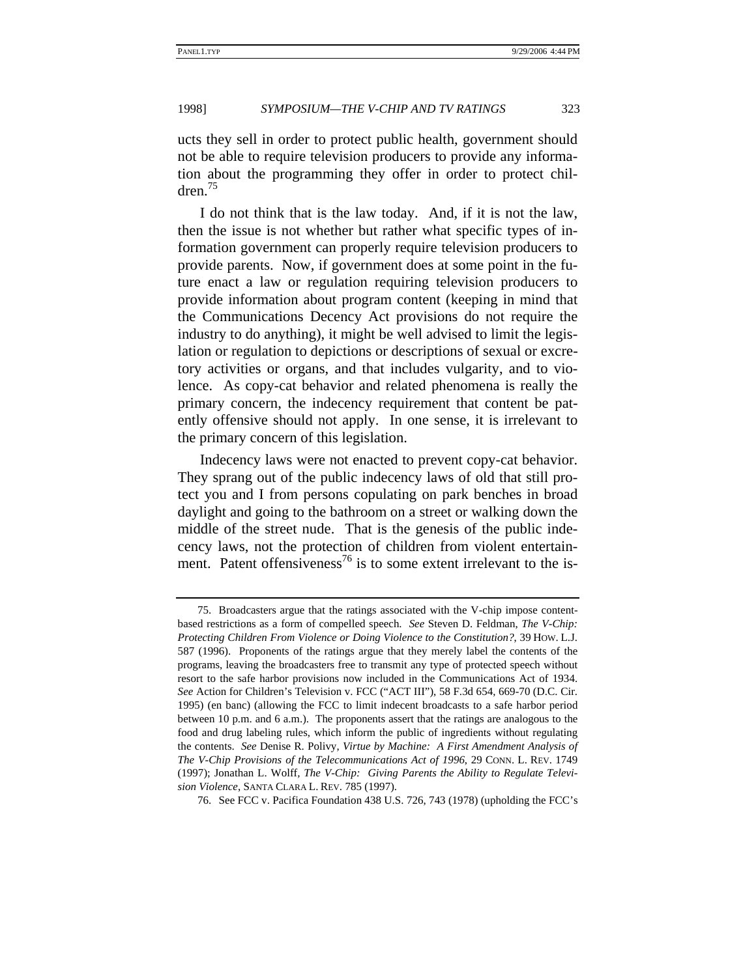ucts they sell in order to protect public health, government should not be able to require television producers to provide any information about the programming they offer in order to protect children.75

I do not think that is the law today. And, if it is not the law, then the issue is not whether but rather what specific types of information government can properly require television producers to provide parents. Now, if government does at some point in the future enact a law or regulation requiring television producers to provide information about program content (keeping in mind that the Communications Decency Act provisions do not require the industry to do anything), it might be well advised to limit the legislation or regulation to depictions or descriptions of sexual or excretory activities or organs, and that includes vulgarity, and to violence. As copy-cat behavior and related phenomena is really the primary concern, the indecency requirement that content be patently offensive should not apply. In one sense, it is irrelevant to the primary concern of this legislation.

Indecency laws were not enacted to prevent copy-cat behavior. They sprang out of the public indecency laws of old that still protect you and I from persons copulating on park benches in broad daylight and going to the bathroom on a street or walking down the middle of the street nude. That is the genesis of the public indecency laws, not the protection of children from violent entertainment. Patent offensiveness<sup>76</sup> is to some extent irrelevant to the is-

<sup>75.</sup> Broadcasters argue that the ratings associated with the V-chip impose contentbased restrictions as a form of compelled speech. *See* Steven D. Feldman, *The V-Chip: Protecting Children From Violence or Doing Violence to the Constitution?*, 39 HOW. L.J. 587 (1996). Proponents of the ratings argue that they merely label the contents of the programs, leaving the broadcasters free to transmit any type of protected speech without resort to the safe harbor provisions now included in the Communications Act of 1934. *See* Action for Children's Television v. FCC ("ACT III"), 58 F.3d 654, 669-70 (D.C. Cir. 1995) (en banc) (allowing the FCC to limit indecent broadcasts to a safe harbor period between 10 p.m. and 6 a.m.). The proponents assert that the ratings are analogous to the food and drug labeling rules, which inform the public of ingredients without regulating the contents. *See* Denise R. Polivy, *Virtue by Machine: A First Amendment Analysis of The V-Chip Provisions of the Telecommunications Act of 1996*, 29 CONN. L. REV. 1749 (1997); Jonathan L. Wolff*, The V-Chip: Giving Parents the Ability to Regulate Television Violence*, SANTA CLARA L. REV. 785 (1997).

<sup>76.</sup> See FCC v. Pacifica Foundation 438 U.S. 726, 743 (1978) (upholding the FCC's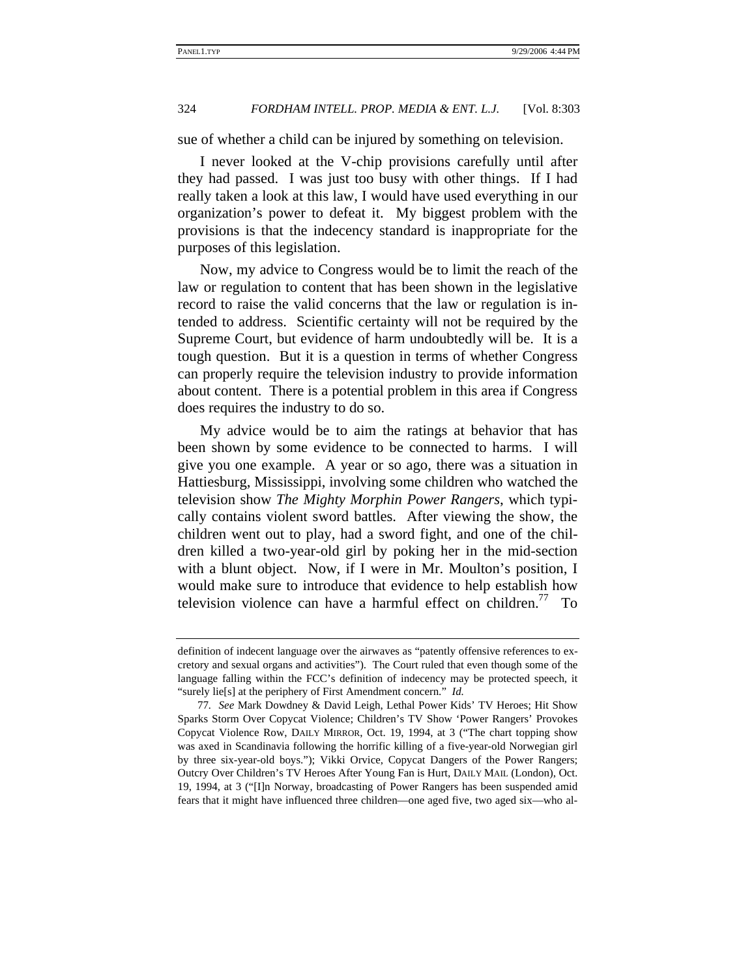sue of whether a child can be injured by something on television.

I never looked at the V-chip provisions carefully until after they had passed. I was just too busy with other things. If I had really taken a look at this law, I would have used everything in our organization's power to defeat it. My biggest problem with the provisions is that the indecency standard is inappropriate for the purposes of this legislation.

Now, my advice to Congress would be to limit the reach of the law or regulation to content that has been shown in the legislative record to raise the valid concerns that the law or regulation is intended to address. Scientific certainty will not be required by the Supreme Court, but evidence of harm undoubtedly will be. It is a tough question. But it is a question in terms of whether Congress can properly require the television industry to provide information about content. There is a potential problem in this area if Congress does requires the industry to do so.

My advice would be to aim the ratings at behavior that has been shown by some evidence to be connected to harms. I will give you one example. A year or so ago, there was a situation in Hattiesburg, Mississippi, involving some children who watched the television show *The Mighty Morphin Power Rangers*, which typically contains violent sword battles. After viewing the show, the children went out to play, had a sword fight, and one of the children killed a two-year-old girl by poking her in the mid-section with a blunt object. Now, if I were in Mr. Moulton's position, I would make sure to introduce that evidence to help establish how television violence can have a harmful effect on children.<sup>77</sup> To

definition of indecent language over the airwaves as "patently offensive references to excretory and sexual organs and activities"). The Court ruled that even though some of the language falling within the FCC's definition of indecency may be protected speech, it "surely lie[s] at the periphery of First Amendment concern." *Id.* 

<sup>77</sup>*. See* Mark Dowdney & David Leigh, Lethal Power Kids' TV Heroes; Hit Show Sparks Storm Over Copycat Violence; Children's TV Show 'Power Rangers' Provokes Copycat Violence Row, DAILY MIRROR, Oct. 19, 1994, at 3 ("The chart topping show was axed in Scandinavia following the horrific killing of a five-year-old Norwegian girl by three six-year-old boys."); Vikki Orvice, Copycat Dangers of the Power Rangers; Outcry Over Children's TV Heroes After Young Fan is Hurt, DAILY MAIL (London), Oct. 19, 1994, at 3 ("[I]n Norway, broadcasting of Power Rangers has been suspended amid fears that it might have influenced three children—one aged five, two aged six—who al-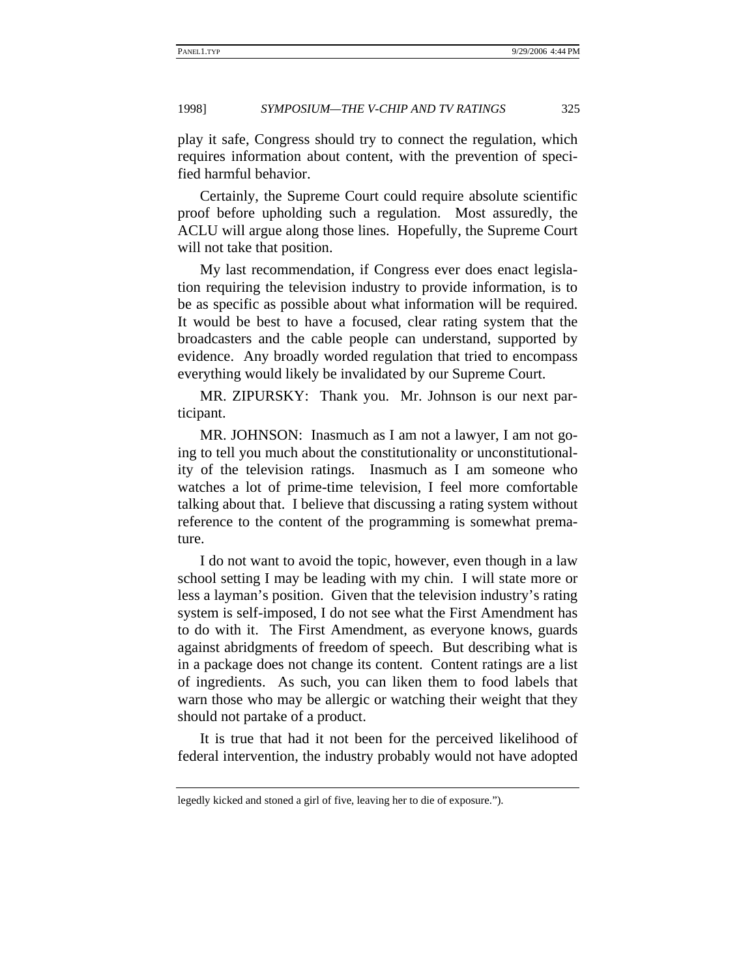play it safe, Congress should try to connect the regulation, which requires information about content, with the prevention of specified harmful behavior.

Certainly, the Supreme Court could require absolute scientific proof before upholding such a regulation. Most assuredly, the ACLU will argue along those lines. Hopefully, the Supreme Court will not take that position.

My last recommendation, if Congress ever does enact legislation requiring the television industry to provide information, is to be as specific as possible about what information will be required. It would be best to have a focused, clear rating system that the broadcasters and the cable people can understand, supported by evidence. Any broadly worded regulation that tried to encompass everything would likely be invalidated by our Supreme Court.

MR. ZIPURSKY: Thank you. Mr. Johnson is our next participant.

MR. JOHNSON: Inasmuch as I am not a lawyer, I am not going to tell you much about the constitutionality or unconstitutionality of the television ratings. Inasmuch as I am someone who watches a lot of prime-time television, I feel more comfortable talking about that. I believe that discussing a rating system without reference to the content of the programming is somewhat premature.

I do not want to avoid the topic, however, even though in a law school setting I may be leading with my chin. I will state more or less a layman's position. Given that the television industry's rating system is self-imposed, I do not see what the First Amendment has to do with it. The First Amendment, as everyone knows, guards against abridgments of freedom of speech. But describing what is in a package does not change its content. Content ratings are a list of ingredients. As such, you can liken them to food labels that warn those who may be allergic or watching their weight that they should not partake of a product.

It is true that had it not been for the perceived likelihood of federal intervention, the industry probably would not have adopted

legedly kicked and stoned a girl of five, leaving her to die of exposure.").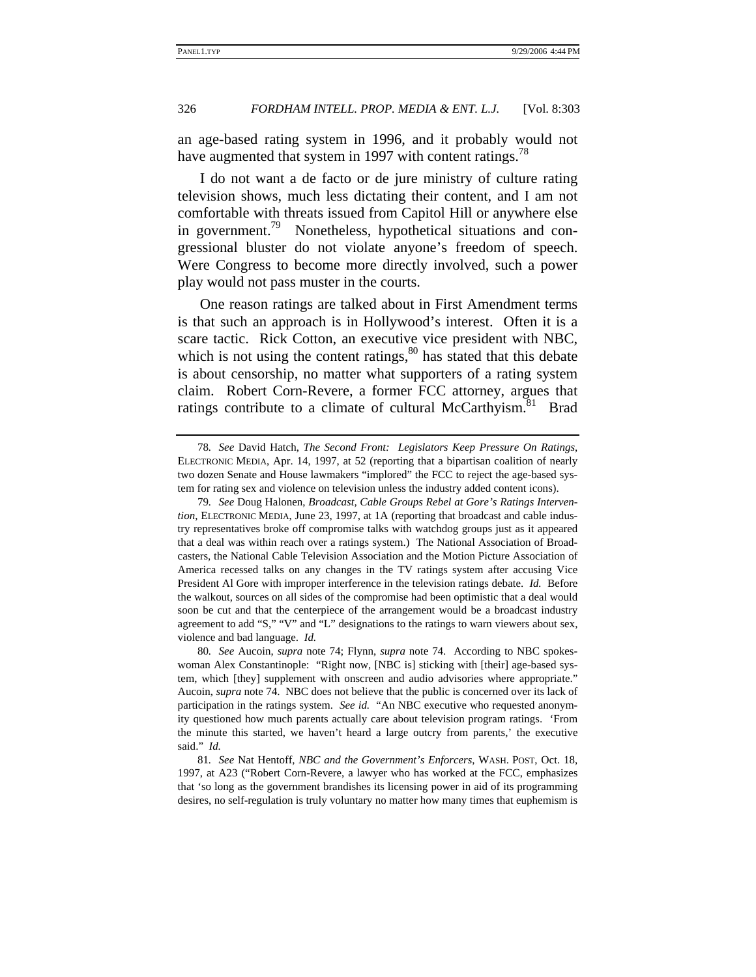an age-based rating system in 1996, and it probably would not have augmented that system in 1997 with content ratings.<sup>78</sup>

I do not want a de facto or de jure ministry of culture rating television shows, much less dictating their content, and I am not comfortable with threats issued from Capitol Hill or anywhere else in government.<sup>79</sup> Nonetheless, hypothetical situations and congressional bluster do not violate anyone's freedom of speech. Were Congress to become more directly involved, such a power play would not pass muster in the courts.

One reason ratings are talked about in First Amendment terms is that such an approach is in Hollywood's interest. Often it is a scare tactic. Rick Cotton, an executive vice president with NBC, which is not using the content ratings, $80$  has stated that this debate is about censorship, no matter what supporters of a rating system claim. Robert Corn-Revere, a former FCC attorney, argues that ratings contribute to a climate of cultural McCarthyism.<sup>81</sup> Brad

80*. See* Aucoin, *supra* note 74; Flynn, *supra* note 74. According to NBC spokeswoman Alex Constantinople: "Right now, [NBC is] sticking with [their] age-based system, which [they] supplement with onscreen and audio advisories where appropriate." Aucoin, *supra* note 74. NBC does not believe that the public is concerned over its lack of participation in the ratings system. *See id.* "An NBC executive who requested anonymity questioned how much parents actually care about television program ratings. 'From the minute this started, we haven't heard a large outcry from parents,' the executive said." *Id.*

81*. See* Nat Hentoff, *NBC and the Government's Enforcers*, WASH. POST, Oct. 18, 1997, at A23 ("Robert Corn-Revere, a lawyer who has worked at the FCC, emphasizes that 'so long as the government brandishes its licensing power in aid of its programming desires, no self-regulation is truly voluntary no matter how many times that euphemism is

<sup>78</sup>*. See* David Hatch, *The Second Front: Legislators Keep Pressure On Ratings*, ELECTRONIC MEDIA, Apr. 14, 1997, at 52 (reporting that a bipartisan coalition of nearly two dozen Senate and House lawmakers "implored" the FCC to reject the age-based system for rating sex and violence on television unless the industry added content icons).

<sup>79</sup>*. See* Doug Halonen, *Broadcast, Cable Groups Rebel at Gore's Ratings Intervention*, ELECTRONIC MEDIA, June 23, 1997, at 1A (reporting that broadcast and cable industry representatives broke off compromise talks with watchdog groups just as it appeared that a deal was within reach over a ratings system.) The National Association of Broadcasters, the National Cable Television Association and the Motion Picture Association of America recessed talks on any changes in the TV ratings system after accusing Vice President Al Gore with improper interference in the television ratings debate. *Id.* Before the walkout, sources on all sides of the compromise had been optimistic that a deal would soon be cut and that the centerpiece of the arrangement would be a broadcast industry agreement to add "S," "V" and "L" designations to the ratings to warn viewers about sex, violence and bad language. *Id.*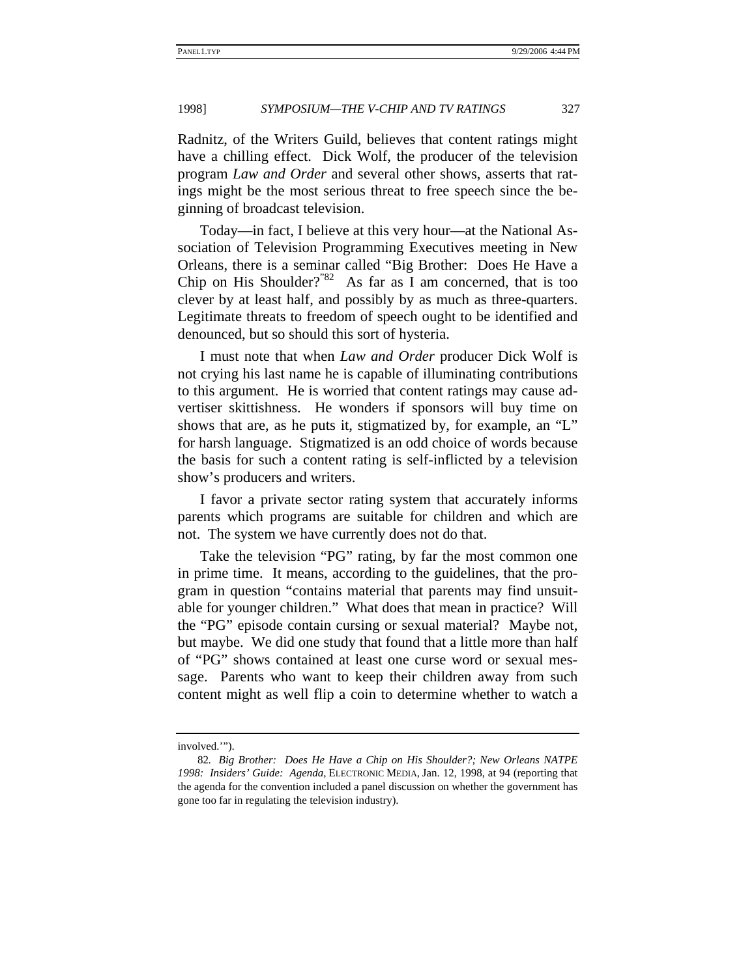Radnitz, of the Writers Guild, believes that content ratings might have a chilling effect. Dick Wolf, the producer of the television program *Law and Order* and several other shows, asserts that ratings might be the most serious threat to free speech since the beginning of broadcast television.

Today—in fact, I believe at this very hour—at the National Association of Television Programming Executives meeting in New Orleans, there is a seminar called "Big Brother: Does He Have a Chip on His Shoulder?"<sup>82</sup> As far as I am concerned, that is too clever by at least half, and possibly by as much as three-quarters. Legitimate threats to freedom of speech ought to be identified and denounced, but so should this sort of hysteria.

I must note that when *Law and Order* producer Dick Wolf is not crying his last name he is capable of illuminating contributions to this argument. He is worried that content ratings may cause advertiser skittishness. He wonders if sponsors will buy time on shows that are, as he puts it, stigmatized by, for example, an "L" for harsh language. Stigmatized is an odd choice of words because the basis for such a content rating is self-inflicted by a television show's producers and writers.

I favor a private sector rating system that accurately informs parents which programs are suitable for children and which are not. The system we have currently does not do that.

Take the television "PG" rating, by far the most common one in prime time. It means, according to the guidelines, that the program in question "contains material that parents may find unsuitable for younger children." What does that mean in practice? Will the "PG" episode contain cursing or sexual material? Maybe not, but maybe. We did one study that found that a little more than half of "PG" shows contained at least one curse word or sexual message. Parents who want to keep their children away from such content might as well flip a coin to determine whether to watch a

involved.'").

<sup>82</sup>*. Big Brother: Does He Have a Chip on His Shoulder?; New Orleans NATPE 1998: Insiders' Guide: Agenda*, ELECTRONIC MEDIA, Jan. 12, 1998, at 94 (reporting that the agenda for the convention included a panel discussion on whether the government has gone too far in regulating the television industry).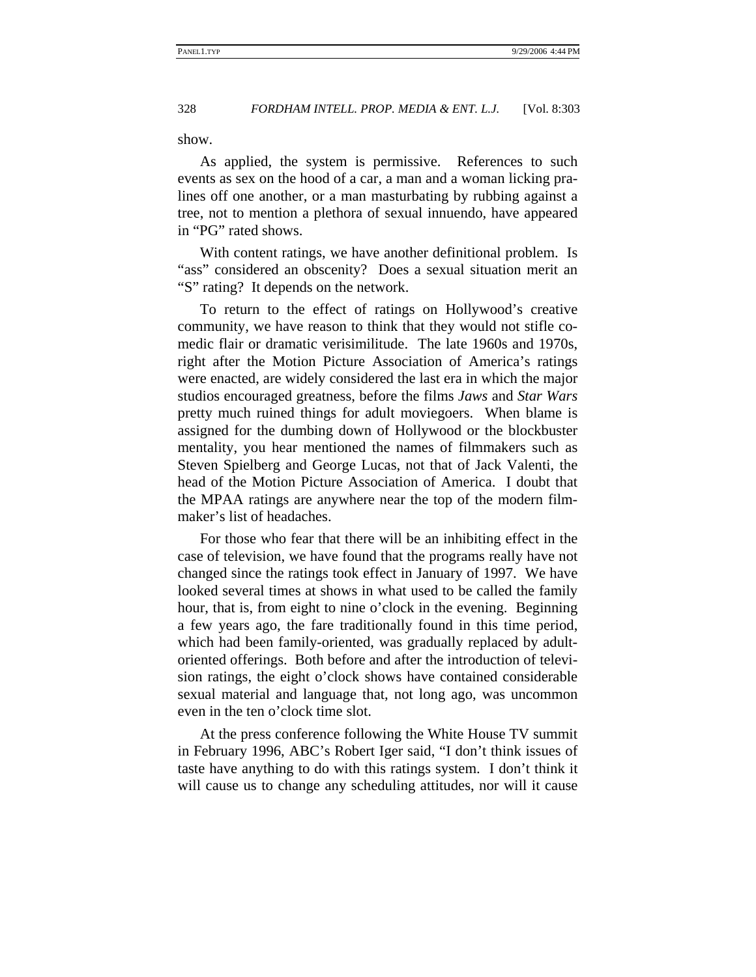show.

As applied, the system is permissive. References to such events as sex on the hood of a car, a man and a woman licking pralines off one another, or a man masturbating by rubbing against a tree, not to mention a plethora of sexual innuendo, have appeared in "PG" rated shows.

With content ratings, we have another definitional problem. Is "ass" considered an obscenity? Does a sexual situation merit an "S" rating? It depends on the network.

To return to the effect of ratings on Hollywood's creative community, we have reason to think that they would not stifle comedic flair or dramatic verisimilitude. The late 1960s and 1970s, right after the Motion Picture Association of America's ratings were enacted, are widely considered the last era in which the major studios encouraged greatness, before the films *Jaws* and *Star Wars* pretty much ruined things for adult moviegoers. When blame is assigned for the dumbing down of Hollywood or the blockbuster mentality, you hear mentioned the names of filmmakers such as Steven Spielberg and George Lucas, not that of Jack Valenti, the head of the Motion Picture Association of America. I doubt that the MPAA ratings are anywhere near the top of the modern filmmaker's list of headaches.

For those who fear that there will be an inhibiting effect in the case of television, we have found that the programs really have not changed since the ratings took effect in January of 1997. We have looked several times at shows in what used to be called the family hour, that is, from eight to nine o'clock in the evening. Beginning a few years ago, the fare traditionally found in this time period, which had been family-oriented, was gradually replaced by adultoriented offerings. Both before and after the introduction of television ratings, the eight o'clock shows have contained considerable sexual material and language that, not long ago, was uncommon even in the ten o'clock time slot.

At the press conference following the White House TV summit in February 1996, ABC's Robert Iger said, "I don't think issues of taste have anything to do with this ratings system. I don't think it will cause us to change any scheduling attitudes, nor will it cause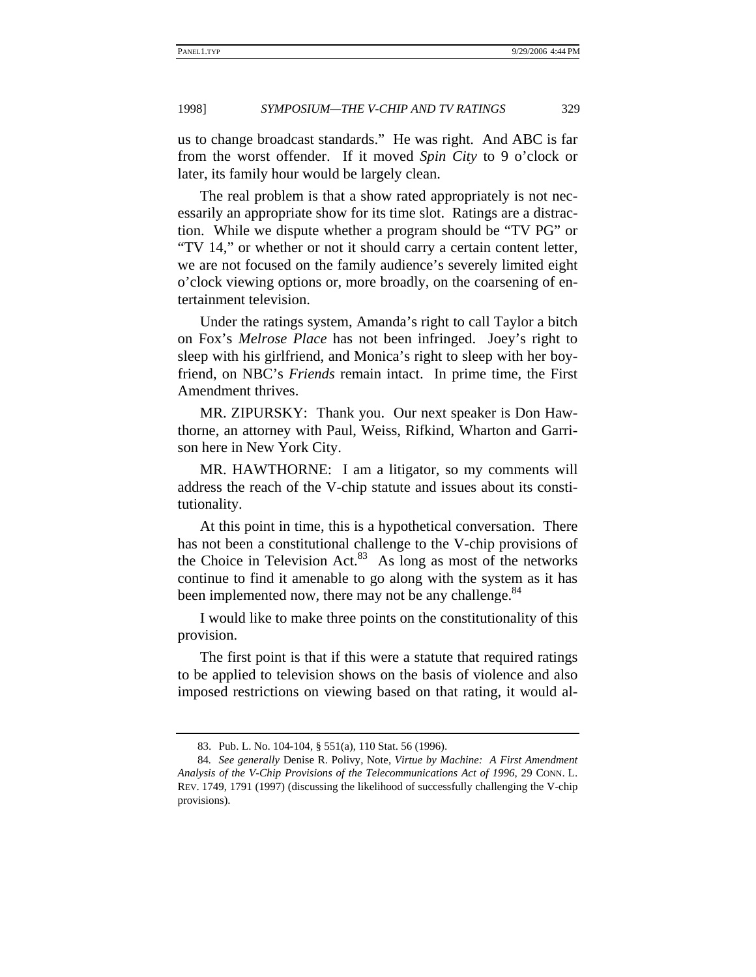us to change broadcast standards." He was right. And ABC is far from the worst offender. If it moved *Spin City* to 9 o'clock or later, its family hour would be largely clean.

The real problem is that a show rated appropriately is not necessarily an appropriate show for its time slot. Ratings are a distraction. While we dispute whether a program should be "TV PG" or "TV 14," or whether or not it should carry a certain content letter, we are not focused on the family audience's severely limited eight o'clock viewing options or, more broadly, on the coarsening of entertainment television.

Under the ratings system, Amanda's right to call Taylor a bitch on Fox's *Melrose Place* has not been infringed. Joey's right to sleep with his girlfriend, and Monica's right to sleep with her boyfriend, on NBC's *Friends* remain intact. In prime time, the First Amendment thrives.

MR. ZIPURSKY: Thank you. Our next speaker is Don Hawthorne, an attorney with Paul, Weiss, Rifkind, Wharton and Garrison here in New York City.

MR. HAWTHORNE: I am a litigator, so my comments will address the reach of the V-chip statute and issues about its constitutionality.

At this point in time, this is a hypothetical conversation. There has not been a constitutional challenge to the V-chip provisions of the Choice in Television Act. $83$  As long as most of the networks continue to find it amenable to go along with the system as it has been implemented now, there may not be any challenge.<sup>84</sup>

I would like to make three points on the constitutionality of this provision.

The first point is that if this were a statute that required ratings to be applied to television shows on the basis of violence and also imposed restrictions on viewing based on that rating, it would al-

<sup>83.</sup> Pub. L. No. 104-104, § 551(a), 110 Stat. 56 (1996).

<sup>84</sup>*. See generally* Denise R. Polivy, Note, *Virtue by Machine: A First Amendment Analysis of the V-Chip Provisions of the Telecommunications Act of 1996*, 29 CONN. L. REV. 1749, 1791 (1997) (discussing the likelihood of successfully challenging the V-chip provisions).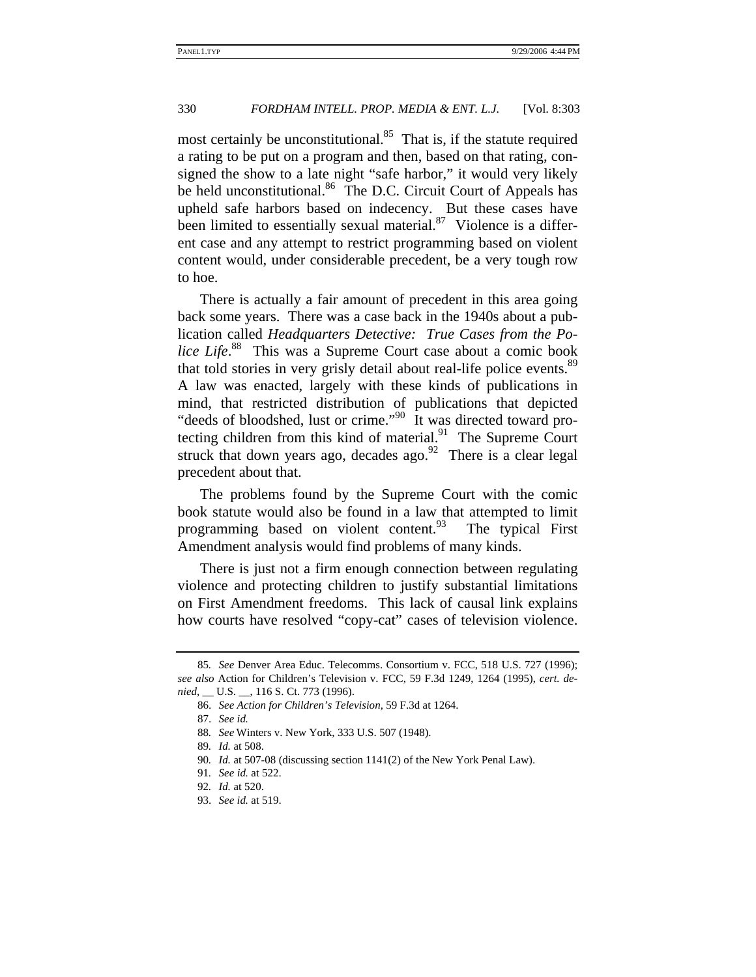most certainly be unconstitutional. $85$  That is, if the statute required a rating to be put on a program and then, based on that rating, consigned the show to a late night "safe harbor," it would very likely be held unconstitutional.<sup>86</sup> The D.C. Circuit Court of Appeals has upheld safe harbors based on indecency. But these cases have been limited to essentially sexual material. $87$  Violence is a different case and any attempt to restrict programming based on violent content would, under considerable precedent, be a very tough row to hoe.

There is actually a fair amount of precedent in this area going back some years. There was a case back in the 1940s about a publication called *Headquarters Detective: True Cases from the Police Life*. 88 This was a Supreme Court case about a comic book that told stories in very grisly detail about real-life police events.<sup>89</sup> A law was enacted, largely with these kinds of publications in mind, that restricted distribution of publications that depicted "deeds of bloodshed, lust or crime."<sup>90</sup> It was directed toward protecting children from this kind of material. $91$  The Supreme Court struck that down years ago, decades ago.<sup>92</sup> There is a clear legal precedent about that.

The problems found by the Supreme Court with the comic book statute would also be found in a law that attempted to limit programming based on violent content.<sup>93</sup> The typical First Amendment analysis would find problems of many kinds.

There is just not a firm enough connection between regulating violence and protecting children to justify substantial limitations on First Amendment freedoms. This lack of causal link explains how courts have resolved "copy-cat" cases of television violence.

<sup>85</sup>*. See* Denver Area Educ. Telecomms. Consortium v. FCC, 518 U.S. 727 (1996); *see also* Action for Children's Television v. FCC, 59 F.3d 1249, 1264 (1995), *cert. denied*, \_\_ U.S. \_\_, 116 S. Ct. 773 (1996).

<sup>86.</sup> *See Action for Children's Television*, 59 F.3d at 1264.

<sup>87.</sup> *See id.*

<sup>88</sup>*. See* Winters v. New York, 333 U.S. 507 (1948).

<sup>89</sup>*. Id.* at 508.

<sup>90</sup>*. Id.* at 507-08 (discussing section 1141(2) of the New York Penal Law).

<sup>91</sup>*. See id.* at 522.

<sup>92</sup>*. Id.* at 520.

<sup>93.</sup> *See id.* at 519.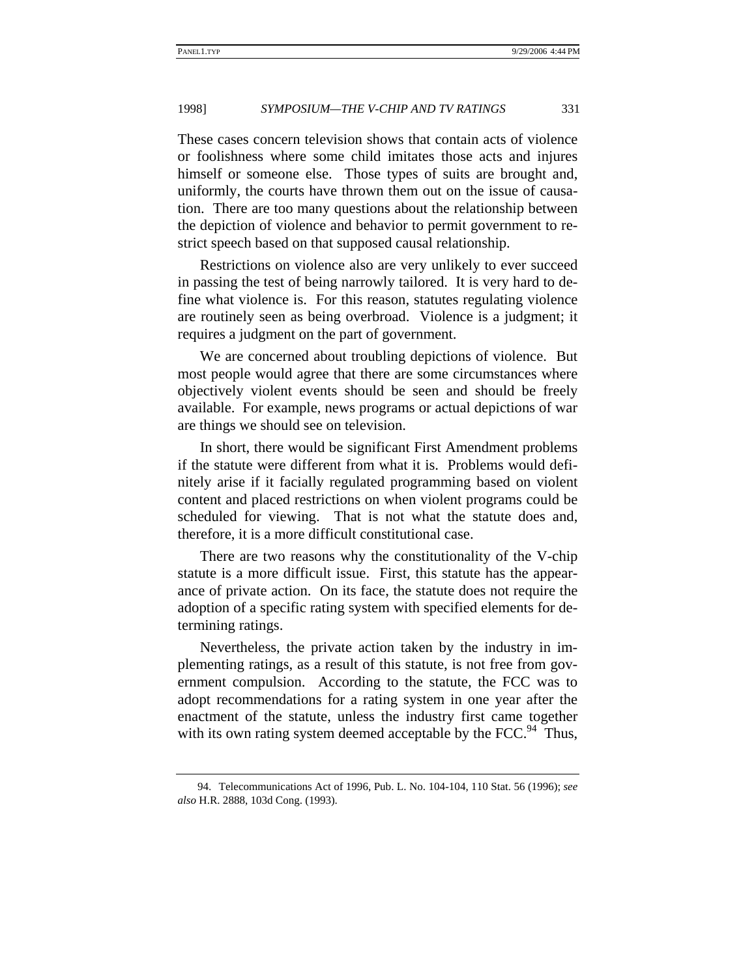These cases concern television shows that contain acts of violence or foolishness where some child imitates those acts and injures himself or someone else. Those types of suits are brought and, uniformly, the courts have thrown them out on the issue of causation. There are too many questions about the relationship between the depiction of violence and behavior to permit government to restrict speech based on that supposed causal relationship.

Restrictions on violence also are very unlikely to ever succeed in passing the test of being narrowly tailored. It is very hard to define what violence is. For this reason, statutes regulating violence are routinely seen as being overbroad. Violence is a judgment; it requires a judgment on the part of government.

We are concerned about troubling depictions of violence. But most people would agree that there are some circumstances where objectively violent events should be seen and should be freely available. For example, news programs or actual depictions of war are things we should see on television.

In short, there would be significant First Amendment problems if the statute were different from what it is. Problems would definitely arise if it facially regulated programming based on violent content and placed restrictions on when violent programs could be scheduled for viewing. That is not what the statute does and, therefore, it is a more difficult constitutional case.

There are two reasons why the constitutionality of the V-chip statute is a more difficult issue. First, this statute has the appearance of private action. On its face, the statute does not require the adoption of a specific rating system with specified elements for determining ratings.

Nevertheless, the private action taken by the industry in implementing ratings, as a result of this statute, is not free from government compulsion. According to the statute, the FCC was to adopt recommendations for a rating system in one year after the enactment of the statute, unless the industry first came together with its own rating system deemed acceptable by the  $FCC<sup>94</sup>$ . Thus,

<sup>94.</sup> Telecommunications Act of 1996, Pub. L. No. 104-104, 110 Stat. 56 (1996); *see also* H.R. 2888, 103d Cong. (1993).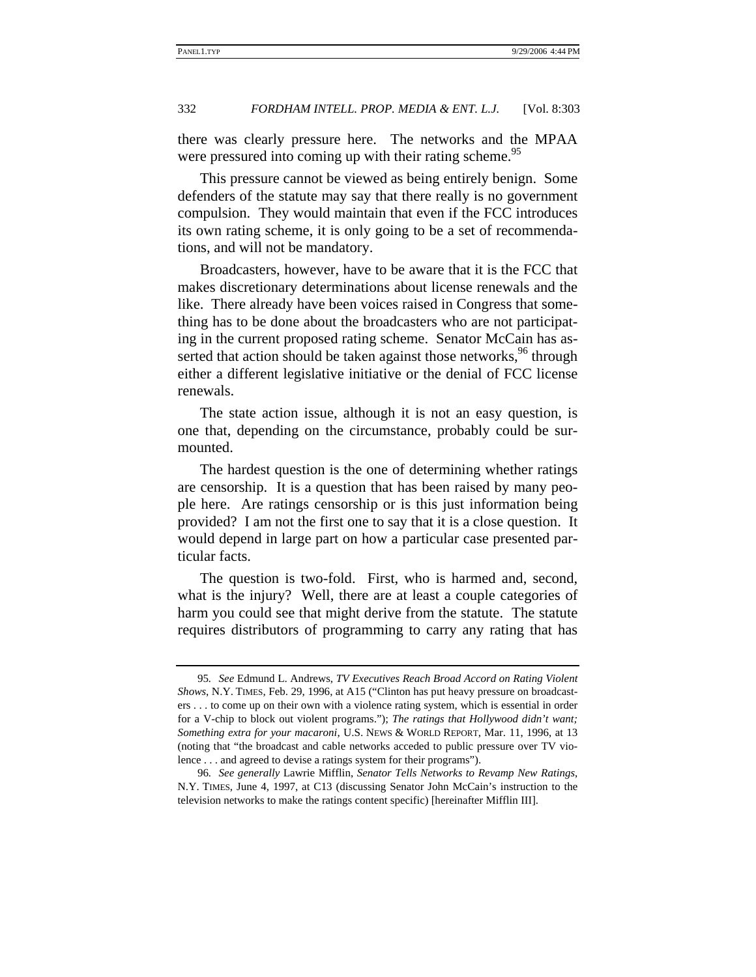there was clearly pressure here. The networks and the MPAA were pressured into coming up with their rating scheme.<sup>95</sup>

This pressure cannot be viewed as being entirely benign. Some defenders of the statute may say that there really is no government compulsion. They would maintain that even if the FCC introduces its own rating scheme, it is only going to be a set of recommendations, and will not be mandatory.

Broadcasters, however, have to be aware that it is the FCC that makes discretionary determinations about license renewals and the like. There already have been voices raised in Congress that something has to be done about the broadcasters who are not participating in the current proposed rating scheme. Senator McCain has asserted that action should be taken against those networks,<sup>96</sup> through either a different legislative initiative or the denial of FCC license renewals.

The state action issue, although it is not an easy question, is one that, depending on the circumstance, probably could be surmounted.

The hardest question is the one of determining whether ratings are censorship. It is a question that has been raised by many people here. Are ratings censorship or is this just information being provided? I am not the first one to say that it is a close question. It would depend in large part on how a particular case presented particular facts.

The question is two-fold. First, who is harmed and, second, what is the injury? Well, there are at least a couple categories of harm you could see that might derive from the statute. The statute requires distributors of programming to carry any rating that has

<sup>95</sup>*. See* Edmund L. Andrews, *TV Executives Reach Broad Accord on Rating Violent Shows*, N.Y. TIMES, Feb. 29, 1996, at A15 ("Clinton has put heavy pressure on broadcasters . . . to come up on their own with a violence rating system, which is essential in order for a V-chip to block out violent programs."); *The ratings that Hollywood didn't want; Something extra for your macaroni*, U.S. NEWS & WORLD REPORT, Mar. 11, 1996, at 13 (noting that "the broadcast and cable networks acceded to public pressure over TV violence . . . and agreed to devise a ratings system for their programs").

<sup>96</sup>*. See generally* Lawrie Mifflin, *Senator Tells Networks to Revamp New Ratings*, N.Y. TIMES, June 4, 1997, at C13 (discussing Senator John McCain's instruction to the television networks to make the ratings content specific) [hereinafter Mifflin III].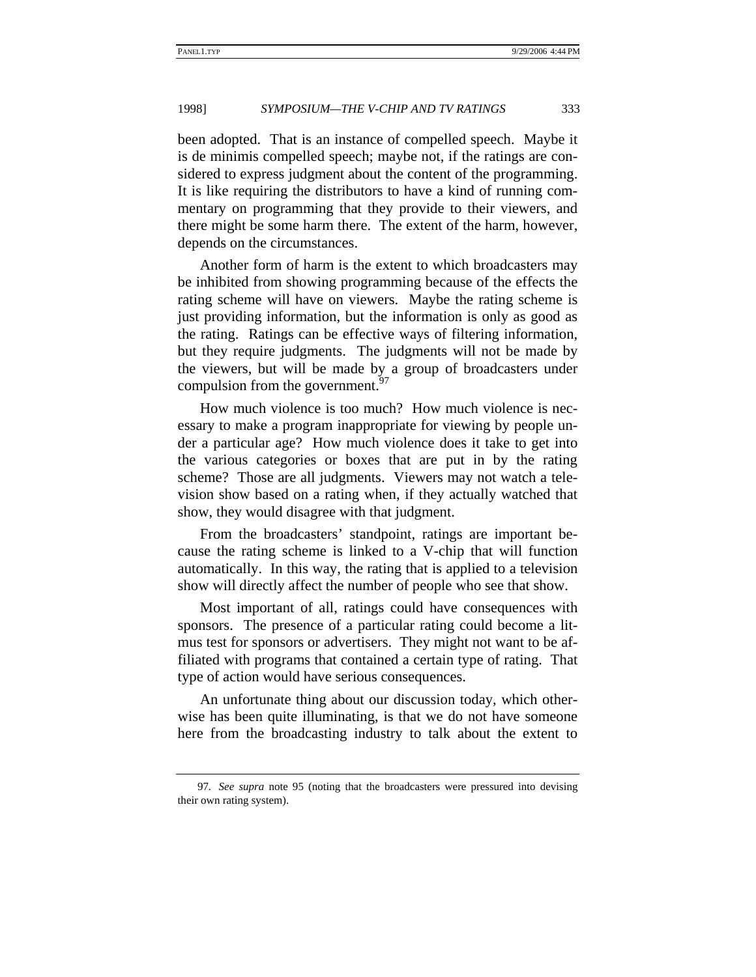been adopted. That is an instance of compelled speech. Maybe it is de minimis compelled speech; maybe not, if the ratings are considered to express judgment about the content of the programming. It is like requiring the distributors to have a kind of running commentary on programming that they provide to their viewers, and there might be some harm there. The extent of the harm, however, depends on the circumstances.

Another form of harm is the extent to which broadcasters may be inhibited from showing programming because of the effects the rating scheme will have on viewers. Maybe the rating scheme is just providing information, but the information is only as good as the rating. Ratings can be effective ways of filtering information, but they require judgments. The judgments will not be made by the viewers, but will be made by a group of broadcasters under compulsion from the government.  $97$ 

How much violence is too much? How much violence is necessary to make a program inappropriate for viewing by people under a particular age? How much violence does it take to get into the various categories or boxes that are put in by the rating scheme? Those are all judgments. Viewers may not watch a television show based on a rating when, if they actually watched that show, they would disagree with that judgment.

From the broadcasters' standpoint, ratings are important because the rating scheme is linked to a V-chip that will function automatically. In this way, the rating that is applied to a television show will directly affect the number of people who see that show.

Most important of all, ratings could have consequences with sponsors. The presence of a particular rating could become a litmus test for sponsors or advertisers. They might not want to be affiliated with programs that contained a certain type of rating. That type of action would have serious consequences.

An unfortunate thing about our discussion today, which otherwise has been quite illuminating, is that we do not have someone here from the broadcasting industry to talk about the extent to

<sup>97</sup>*. See supra* note 95 (noting that the broadcasters were pressured into devising their own rating system).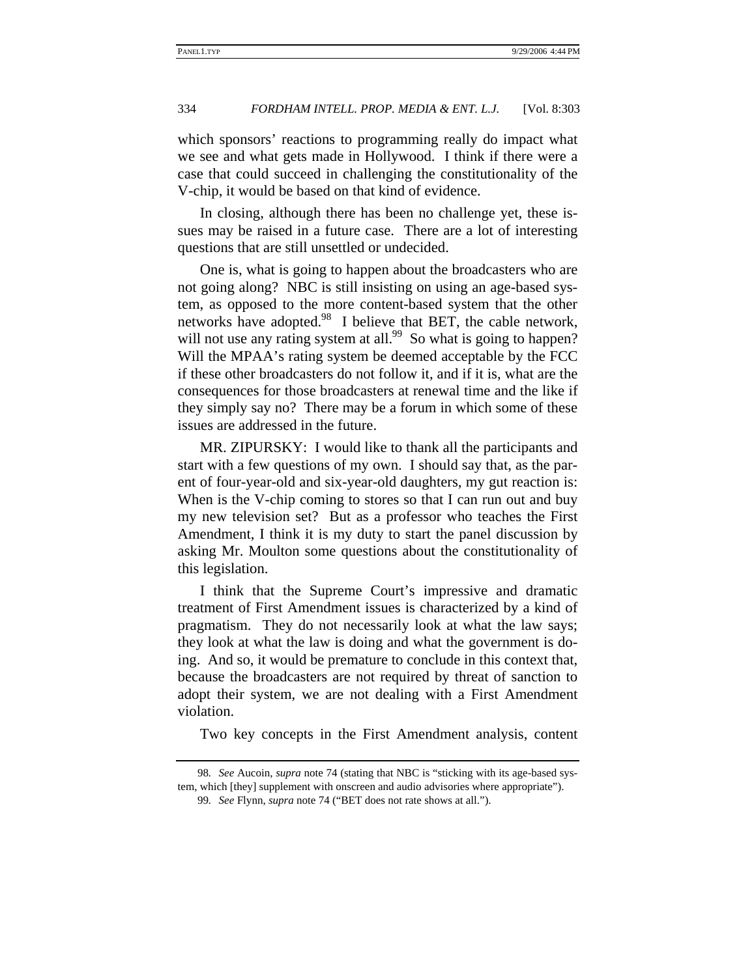which sponsors' reactions to programming really do impact what we see and what gets made in Hollywood. I think if there were a case that could succeed in challenging the constitutionality of the V-chip, it would be based on that kind of evidence.

In closing, although there has been no challenge yet, these issues may be raised in a future case. There are a lot of interesting questions that are still unsettled or undecided.

One is, what is going to happen about the broadcasters who are not going along? NBC is still insisting on using an age-based system, as opposed to the more content-based system that the other networks have adopted. $98\,$  I believe that BET, the cable network, will not use any rating system at all.<sup>99</sup> So what is going to happen? Will the MPAA's rating system be deemed acceptable by the FCC if these other broadcasters do not follow it, and if it is, what are the consequences for those broadcasters at renewal time and the like if they simply say no? There may be a forum in which some of these issues are addressed in the future.

MR. ZIPURSKY: I would like to thank all the participants and start with a few questions of my own. I should say that, as the parent of four-year-old and six-year-old daughters, my gut reaction is: When is the V-chip coming to stores so that I can run out and buy my new television set? But as a professor who teaches the First Amendment, I think it is my duty to start the panel discussion by asking Mr. Moulton some questions about the constitutionality of this legislation.

I think that the Supreme Court's impressive and dramatic treatment of First Amendment issues is characterized by a kind of pragmatism. They do not necessarily look at what the law says; they look at what the law is doing and what the government is doing. And so, it would be premature to conclude in this context that, because the broadcasters are not required by threat of sanction to adopt their system, we are not dealing with a First Amendment violation.

Two key concepts in the First Amendment analysis, content

<sup>98</sup>*. See* Aucoin, *supra* note 74 (stating that NBC is "sticking with its age-based system, which [they] supplement with onscreen and audio advisories where appropriate").

<sup>99</sup>*. See* Flynn, *supra* note 74 ("BET does not rate shows at all.").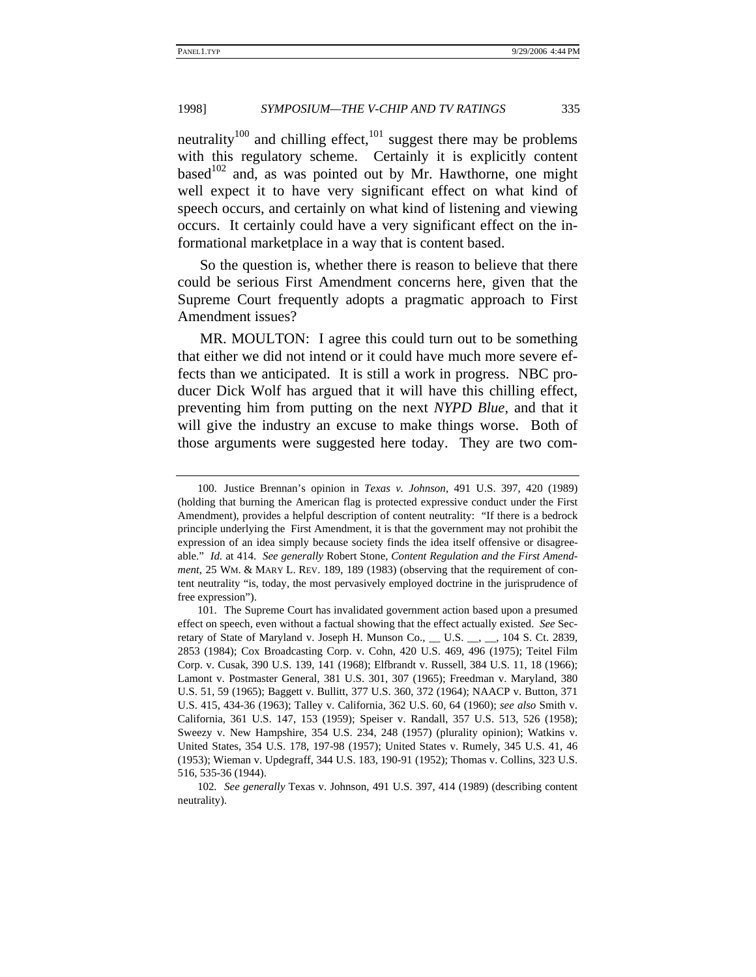neutrality<sup>100</sup> and chilling effect,<sup>101</sup> suggest there may be problems with this regulatory scheme. Certainly it is explicitly content based<sup>102</sup> and, as was pointed out by Mr. Hawthorne, one might well expect it to have very significant effect on what kind of speech occurs, and certainly on what kind of listening and viewing occurs. It certainly could have a very significant effect on the informational marketplace in a way that is content based.

So the question is, whether there is reason to believe that there could be serious First Amendment concerns here, given that the Supreme Court frequently adopts a pragmatic approach to First Amendment issues?

MR. MOULTON: I agree this could turn out to be something that either we did not intend or it could have much more severe effects than we anticipated. It is still a work in progress. NBC producer Dick Wolf has argued that it will have this chilling effect, preventing him from putting on the next *NYPD Blue*, and that it will give the industry an excuse to make things worse. Both of those arguments were suggested here today. They are two com-

<sup>100.</sup> Justice Brennan's opinion in *Texas v. Johnson*, 491 U.S. 397, 420 (1989) (holding that burning the American flag is protected expressive conduct under the First Amendment), provides a helpful description of content neutrality: "If there is a bedrock principle underlying the First Amendment, it is that the government may not prohibit the expression of an idea simply because society finds the idea itself offensive or disagreeable." *Id.* at 414. *See generally* Robert Stone, *Content Regulation and the First Amendment*, 25 WM. & MARY L. REV. 189, 189 (1983) (observing that the requirement of content neutrality "is, today, the most pervasively employed doctrine in the jurisprudence of free expression").

<sup>101.</sup> The Supreme Court has invalidated government action based upon a presumed effect on speech, even without a factual showing that the effect actually existed. *See* Secretary of State of Maryland v. Joseph H. Munson Co., \_\_ U.S. \_\_, \_\_, 104 S. Ct. 2839, 2853 (1984); Cox Broadcasting Corp. v. Cohn, 420 U.S. 469, 496 (1975); Teitel Film Corp. v. Cusak, 390 U.S. 139, 141 (1968); Elfbrandt v. Russell, 384 U.S. 11, 18 (1966); Lamont v. Postmaster General, 381 U.S. 301, 307 (1965); Freedman v. Maryland, 380 U.S. 51, 59 (1965); Baggett v. Bullitt, 377 U.S. 360, 372 (1964); NAACP v. Button, 371 U.S. 415, 434-36 (1963); Talley v. California, 362 U.S. 60, 64 (1960); *see also* Smith v. California, 361 U.S. 147, 153 (1959); Speiser v. Randall, 357 U.S. 513, 526 (1958); Sweezy v. New Hampshire, 354 U.S. 234, 248 (1957) (plurality opinion); Watkins v. United States, 354 U.S. 178, 197-98 (1957); United States v. Rumely, 345 U.S. 41, 46 (1953); Wieman v. Updegraff, 344 U.S. 183, 190-91 (1952); Thomas v. Collins, 323 U.S. 516, 535-36 (1944).

<sup>102</sup>*. See generally* Texas v. Johnson, 491 U.S. 397, 414 (1989) (describing content neutrality).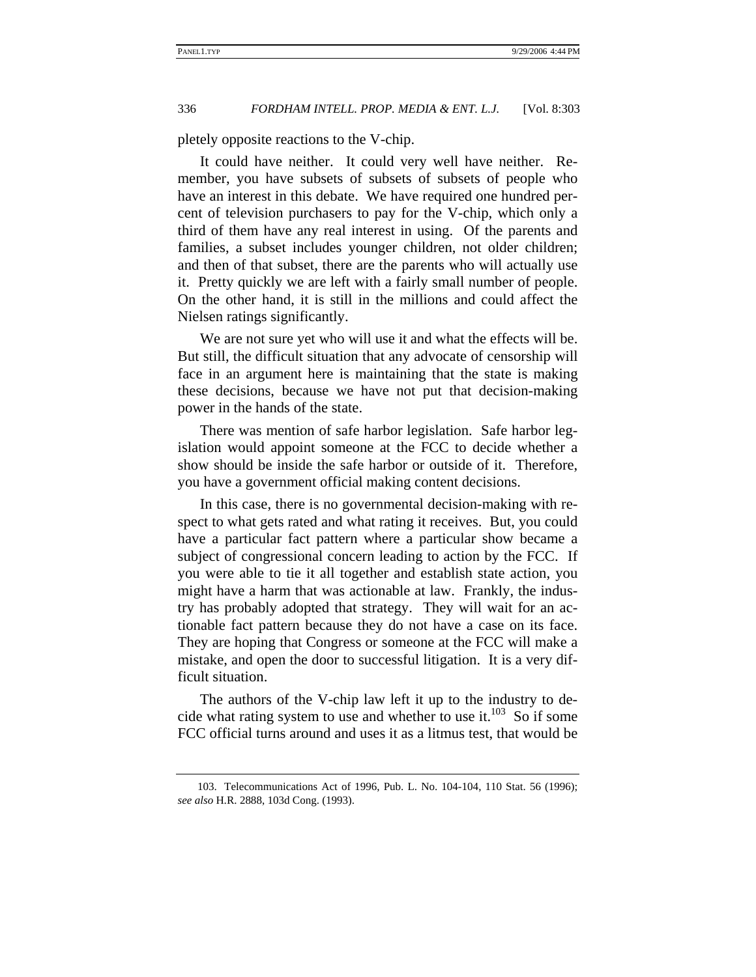pletely opposite reactions to the V-chip.

It could have neither. It could very well have neither. Remember, you have subsets of subsets of subsets of people who have an interest in this debate. We have required one hundred percent of television purchasers to pay for the V-chip, which only a third of them have any real interest in using. Of the parents and families, a subset includes younger children, not older children; and then of that subset, there are the parents who will actually use it. Pretty quickly we are left with a fairly small number of people. On the other hand, it is still in the millions and could affect the Nielsen ratings significantly.

We are not sure yet who will use it and what the effects will be. But still, the difficult situation that any advocate of censorship will face in an argument here is maintaining that the state is making these decisions, because we have not put that decision-making power in the hands of the state.

There was mention of safe harbor legislation. Safe harbor legislation would appoint someone at the FCC to decide whether a show should be inside the safe harbor or outside of it. Therefore, you have a government official making content decisions.

In this case, there is no governmental decision-making with respect to what gets rated and what rating it receives. But, you could have a particular fact pattern where a particular show became a subject of congressional concern leading to action by the FCC. If you were able to tie it all together and establish state action, you might have a harm that was actionable at law. Frankly, the industry has probably adopted that strategy. They will wait for an actionable fact pattern because they do not have a case on its face. They are hoping that Congress or someone at the FCC will make a mistake, and open the door to successful litigation. It is a very difficult situation.

The authors of the V-chip law left it up to the industry to decide what rating system to use and whether to use it. $^{103}$  So if some FCC official turns around and uses it as a litmus test, that would be

<sup>103.</sup> Telecommunications Act of 1996, Pub. L. No. 104-104, 110 Stat. 56 (1996); *see also* H.R. 2888, 103d Cong. (1993).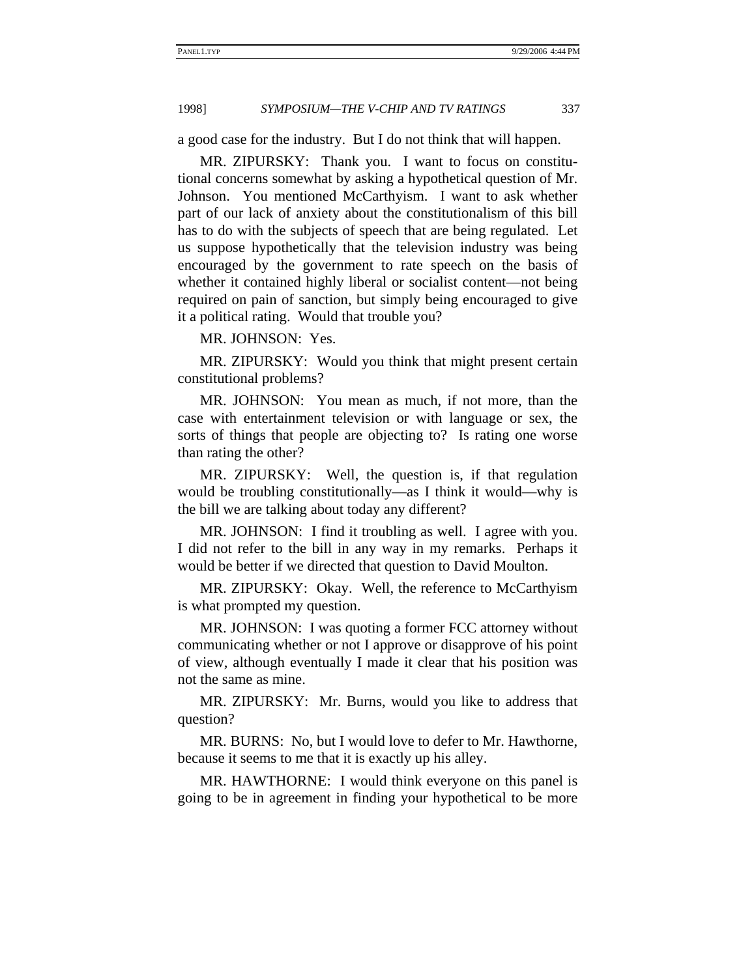a good case for the industry. But I do not think that will happen.

MR. ZIPURSKY: Thank you. I want to focus on constitutional concerns somewhat by asking a hypothetical question of Mr. Johnson. You mentioned McCarthyism. I want to ask whether part of our lack of anxiety about the constitutionalism of this bill has to do with the subjects of speech that are being regulated. Let us suppose hypothetically that the television industry was being encouraged by the government to rate speech on the basis of whether it contained highly liberal or socialist content—not being required on pain of sanction, but simply being encouraged to give it a political rating. Would that trouble you?

MR. JOHNSON: Yes.

MR. ZIPURSKY: Would you think that might present certain constitutional problems?

MR. JOHNSON: You mean as much, if not more, than the case with entertainment television or with language or sex, the sorts of things that people are objecting to? Is rating one worse than rating the other?

MR. ZIPURSKY: Well, the question is, if that regulation would be troubling constitutionally—as I think it would—why is the bill we are talking about today any different?

MR. JOHNSON: I find it troubling as well. I agree with you. I did not refer to the bill in any way in my remarks. Perhaps it would be better if we directed that question to David Moulton.

MR. ZIPURSKY: Okay. Well, the reference to McCarthyism is what prompted my question.

MR. JOHNSON: I was quoting a former FCC attorney without communicating whether or not I approve or disapprove of his point of view, although eventually I made it clear that his position was not the same as mine.

MR. ZIPURSKY: Mr. Burns, would you like to address that question?

MR. BURNS: No, but I would love to defer to Mr. Hawthorne, because it seems to me that it is exactly up his alley.

MR. HAWTHORNE: I would think everyone on this panel is going to be in agreement in finding your hypothetical to be more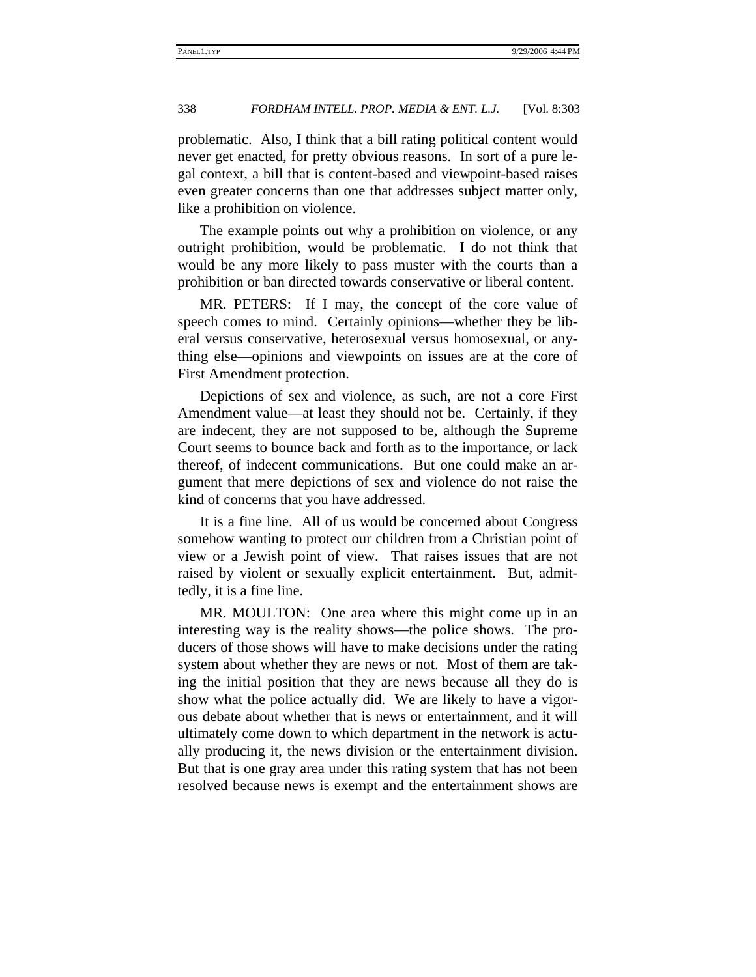problematic. Also, I think that a bill rating political content would never get enacted, for pretty obvious reasons. In sort of a pure legal context, a bill that is content-based and viewpoint-based raises even greater concerns than one that addresses subject matter only, like a prohibition on violence.

The example points out why a prohibition on violence, or any outright prohibition, would be problematic. I do not think that would be any more likely to pass muster with the courts than a prohibition or ban directed towards conservative or liberal content.

MR. PETERS: If I may, the concept of the core value of speech comes to mind. Certainly opinions—whether they be liberal versus conservative, heterosexual versus homosexual, or anything else—opinions and viewpoints on issues are at the core of First Amendment protection.

Depictions of sex and violence, as such, are not a core First Amendment value—at least they should not be. Certainly, if they are indecent, they are not supposed to be, although the Supreme Court seems to bounce back and forth as to the importance, or lack thereof, of indecent communications. But one could make an argument that mere depictions of sex and violence do not raise the kind of concerns that you have addressed.

It is a fine line. All of us would be concerned about Congress somehow wanting to protect our children from a Christian point of view or a Jewish point of view. That raises issues that are not raised by violent or sexually explicit entertainment. But, admittedly, it is a fine line.

MR. MOULTON: One area where this might come up in an interesting way is the reality shows—the police shows. The producers of those shows will have to make decisions under the rating system about whether they are news or not. Most of them are taking the initial position that they are news because all they do is show what the police actually did. We are likely to have a vigorous debate about whether that is news or entertainment, and it will ultimately come down to which department in the network is actually producing it, the news division or the entertainment division. But that is one gray area under this rating system that has not been resolved because news is exempt and the entertainment shows are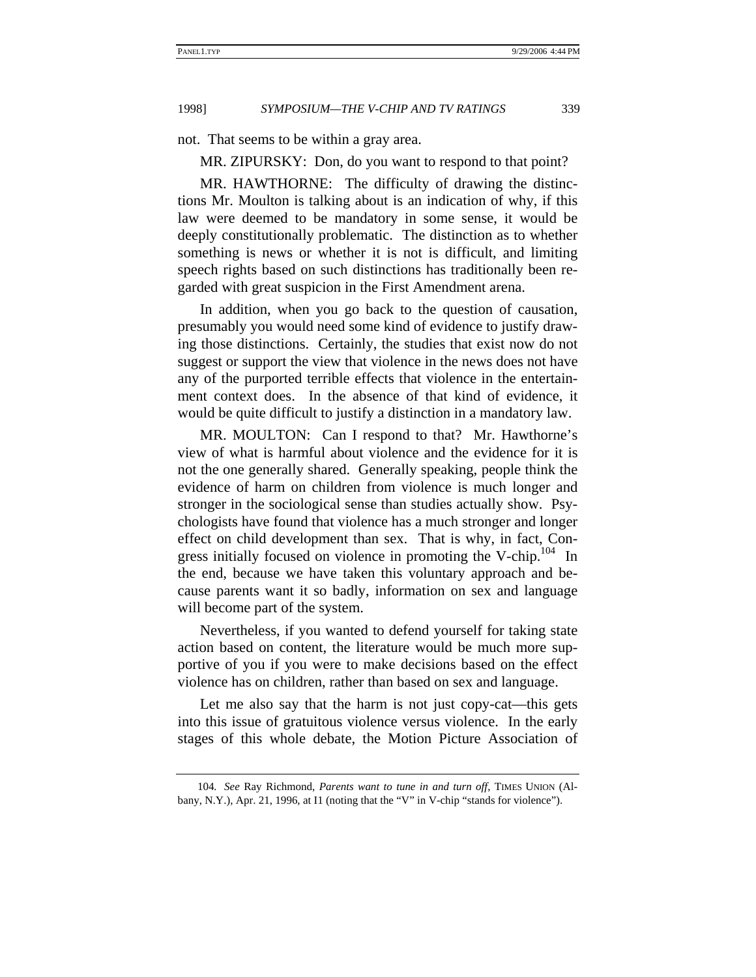not. That seems to be within a gray area.

MR. ZIPURSKY: Don, do you want to respond to that point?

MR. HAWTHORNE: The difficulty of drawing the distinctions Mr. Moulton is talking about is an indication of why, if this law were deemed to be mandatory in some sense, it would be deeply constitutionally problematic. The distinction as to whether something is news or whether it is not is difficult, and limiting speech rights based on such distinctions has traditionally been regarded with great suspicion in the First Amendment arena.

In addition, when you go back to the question of causation, presumably you would need some kind of evidence to justify drawing those distinctions. Certainly, the studies that exist now do not suggest or support the view that violence in the news does not have any of the purported terrible effects that violence in the entertainment context does. In the absence of that kind of evidence, it would be quite difficult to justify a distinction in a mandatory law.

MR. MOULTON: Can I respond to that? Mr. Hawthorne's view of what is harmful about violence and the evidence for it is not the one generally shared. Generally speaking, people think the evidence of harm on children from violence is much longer and stronger in the sociological sense than studies actually show. Psychologists have found that violence has a much stronger and longer effect on child development than sex. That is why, in fact, Congress initially focused on violence in promoting the V-chip.<sup>104</sup> In the end, because we have taken this voluntary approach and because parents want it so badly, information on sex and language will become part of the system.

Nevertheless, if you wanted to defend yourself for taking state action based on content, the literature would be much more supportive of you if you were to make decisions based on the effect violence has on children, rather than based on sex and language.

Let me also say that the harm is not just copy-cat—this gets into this issue of gratuitous violence versus violence. In the early stages of this whole debate, the Motion Picture Association of

<sup>104</sup>*. See* Ray Richmond, *Parents want to tune in and turn off*, TIMES UNION (Albany, N.Y.), Apr. 21, 1996, at I1 (noting that the "V" in V-chip "stands for violence").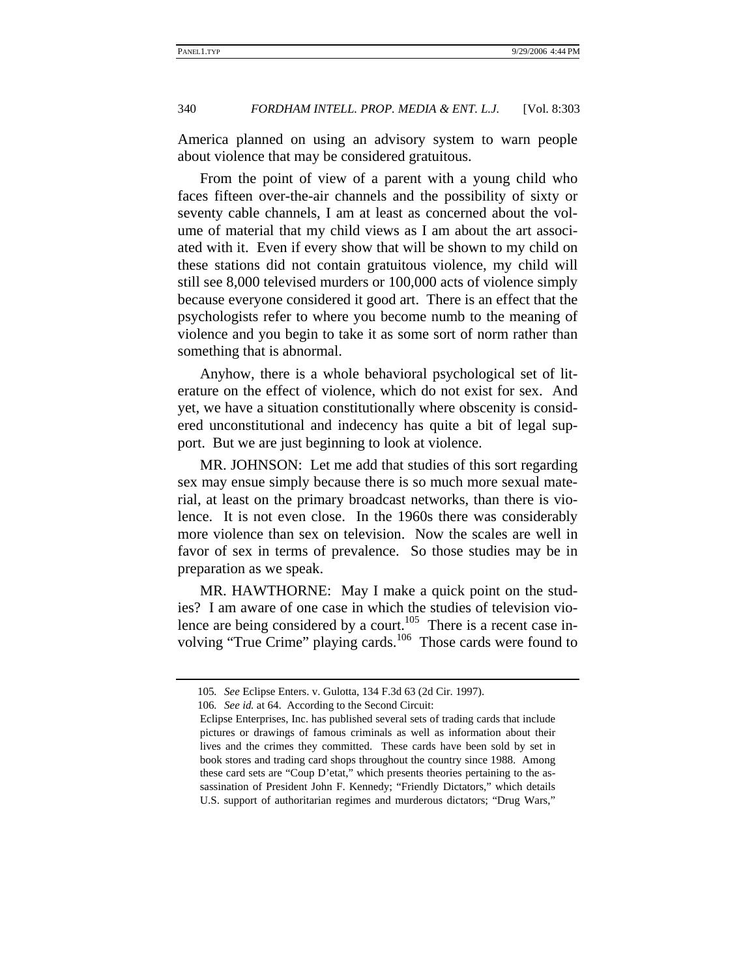America planned on using an advisory system to warn people about violence that may be considered gratuitous.

From the point of view of a parent with a young child who faces fifteen over-the-air channels and the possibility of sixty or seventy cable channels, I am at least as concerned about the volume of material that my child views as I am about the art associated with it. Even if every show that will be shown to my child on these stations did not contain gratuitous violence, my child will still see 8,000 televised murders or 100,000 acts of violence simply because everyone considered it good art. There is an effect that the psychologists refer to where you become numb to the meaning of violence and you begin to take it as some sort of norm rather than something that is abnormal.

Anyhow, there is a whole behavioral psychological set of literature on the effect of violence, which do not exist for sex. And yet, we have a situation constitutionally where obscenity is considered unconstitutional and indecency has quite a bit of legal support. But we are just beginning to look at violence.

MR. JOHNSON: Let me add that studies of this sort regarding sex may ensue simply because there is so much more sexual material, at least on the primary broadcast networks, than there is violence. It is not even close. In the 1960s there was considerably more violence than sex on television. Now the scales are well in favor of sex in terms of prevalence. So those studies may be in preparation as we speak.

MR. HAWTHORNE: May I make a quick point on the studies? I am aware of one case in which the studies of television violence are being considered by a court.<sup>105</sup> There is a recent case involving "True Crime" playing cards.<sup>106</sup> Those cards were found to

<sup>105</sup>*. See* Eclipse Enters. v. Gulotta, 134 F.3d 63 (2d Cir. 1997).

<sup>106</sup>*. See id.* at 64. According to the Second Circuit:

Eclipse Enterprises, Inc. has published several sets of trading cards that include pictures or drawings of famous criminals as well as information about their lives and the crimes they committed. These cards have been sold by set in book stores and trading card shops throughout the country since 1988. Among these card sets are "Coup D'etat," which presents theories pertaining to the assassination of President John F. Kennedy; "Friendly Dictators," which details U.S. support of authoritarian regimes and murderous dictators; "Drug Wars,"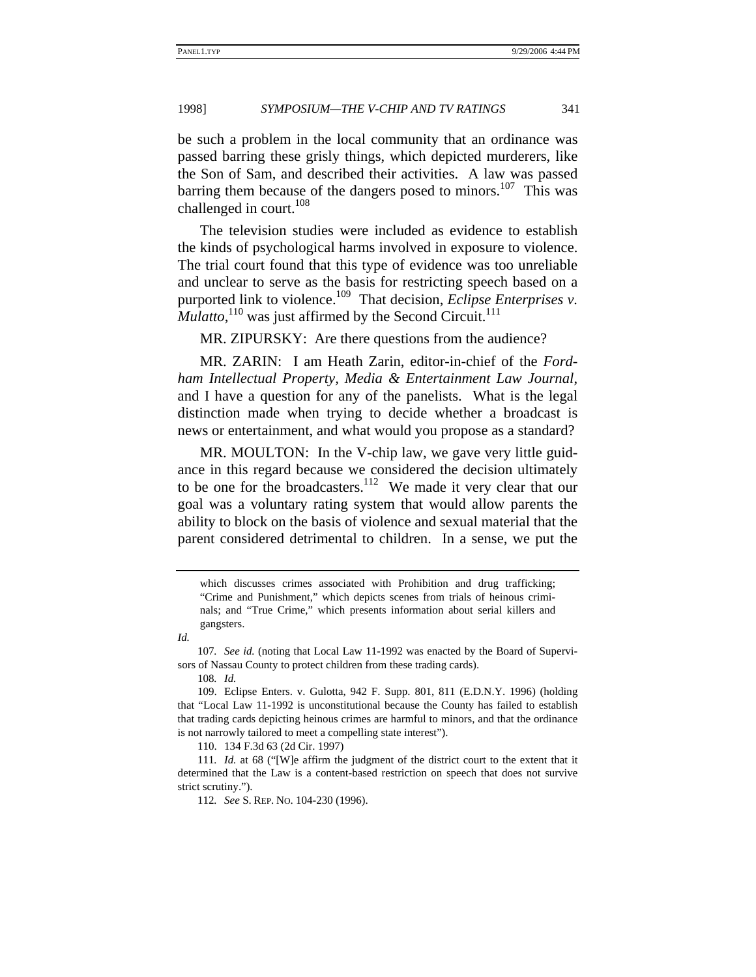be such a problem in the local community that an ordinance was passed barring these grisly things, which depicted murderers, like the Son of Sam, and described their activities. A law was passed barring them because of the dangers posed to minors.<sup>107</sup> This was challenged in court.<sup>108</sup>

The television studies were included as evidence to establish the kinds of psychological harms involved in exposure to violence. The trial court found that this type of evidence was too unreliable and unclear to serve as the basis for restricting speech based on a purported link to violence.<sup>109</sup> That decision, *Eclipse Enterprises v. Mulatto*,<sup>110</sup> was just affirmed by the Second Circuit.<sup>111</sup>

MR. ZIPURSKY: Are there questions from the audience?

MR. ZARIN: I am Heath Zarin, editor-in-chief of the *Fordham Intellectual Property, Media & Entertainment Law Journal*, and I have a question for any of the panelists. What is the legal distinction made when trying to decide whether a broadcast is news or entertainment, and what would you propose as a standard?

MR. MOULTON: In the V-chip law, we gave very little guidance in this regard because we considered the decision ultimately to be one for the broadcasters.<sup>112</sup> We made it very clear that our goal was a voluntary rating system that would allow parents the ability to block on the basis of violence and sexual material that the parent considered detrimental to children. In a sense, we put the

108*. Id.*

which discusses crimes associated with Prohibition and drug trafficking; "Crime and Punishment," which depicts scenes from trials of heinous criminals; and "True Crime," which presents information about serial killers and gangsters.

*Id.*

<sup>107</sup>*. See id.* (noting that Local Law 11-1992 was enacted by the Board of Supervisors of Nassau County to protect children from these trading cards).

<sup>109.</sup> Eclipse Enters. v. Gulotta, 942 F. Supp. 801, 811 (E.D.N.Y. 1996) (holding that "Local Law 11-1992 is unconstitutional because the County has failed to establish that trading cards depicting heinous crimes are harmful to minors, and that the ordinance is not narrowly tailored to meet a compelling state interest").

<sup>110. 134</sup> F.3d 63 (2d Cir. 1997)

<sup>111</sup>*. Id.* at 68 ("[W]e affirm the judgment of the district court to the extent that it determined that the Law is a content-based restriction on speech that does not survive strict scrutiny.").

<sup>112</sup>*. See* S. REP. NO. 104-230 (1996).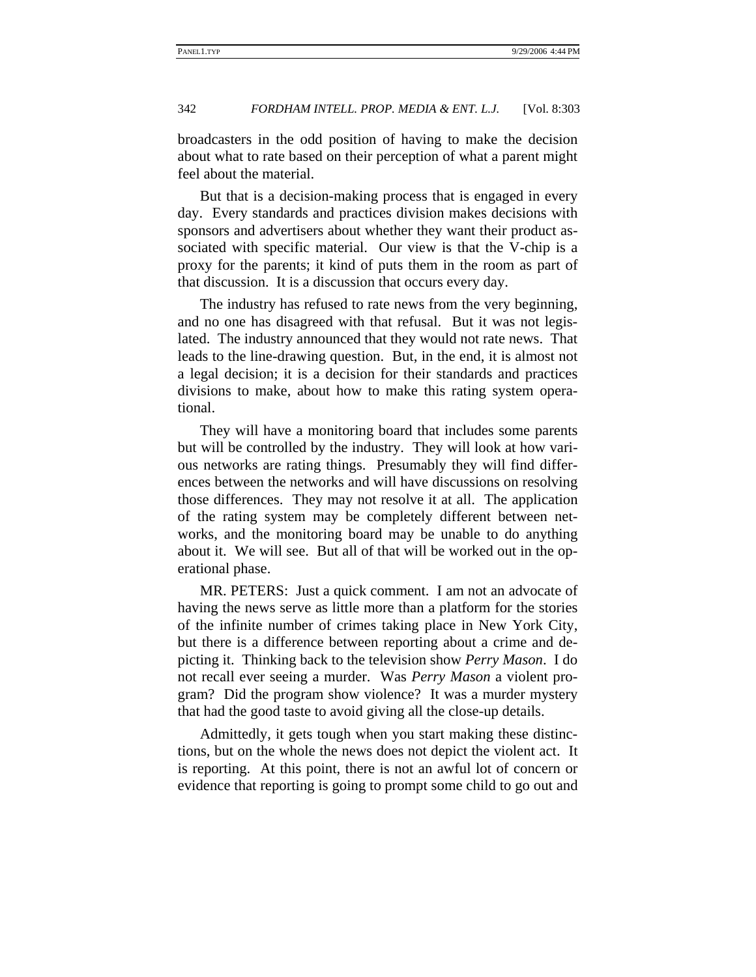broadcasters in the odd position of having to make the decision about what to rate based on their perception of what a parent might feel about the material.

But that is a decision-making process that is engaged in every day. Every standards and practices division makes decisions with sponsors and advertisers about whether they want their product associated with specific material. Our view is that the V-chip is a proxy for the parents; it kind of puts them in the room as part of that discussion. It is a discussion that occurs every day.

The industry has refused to rate news from the very beginning, and no one has disagreed with that refusal. But it was not legislated. The industry announced that they would not rate news. That leads to the line-drawing question. But, in the end, it is almost not a legal decision; it is a decision for their standards and practices divisions to make, about how to make this rating system operational.

They will have a monitoring board that includes some parents but will be controlled by the industry. They will look at how various networks are rating things. Presumably they will find differences between the networks and will have discussions on resolving those differences. They may not resolve it at all. The application of the rating system may be completely different between networks, and the monitoring board may be unable to do anything about it. We will see. But all of that will be worked out in the operational phase.

MR. PETERS: Just a quick comment. I am not an advocate of having the news serve as little more than a platform for the stories of the infinite number of crimes taking place in New York City, but there is a difference between reporting about a crime and depicting it. Thinking back to the television show *Perry Mason*. I do not recall ever seeing a murder. Was *Perry Mason* a violent program? Did the program show violence? It was a murder mystery that had the good taste to avoid giving all the close-up details.

Admittedly, it gets tough when you start making these distinctions, but on the whole the news does not depict the violent act. It is reporting. At this point, there is not an awful lot of concern or evidence that reporting is going to prompt some child to go out and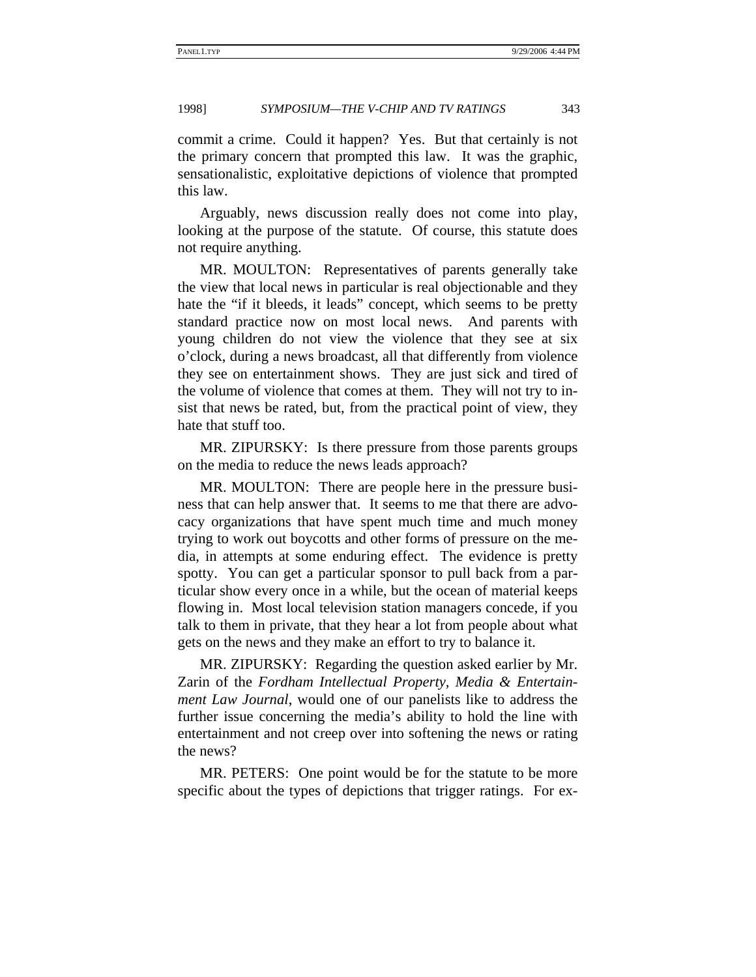commit a crime. Could it happen? Yes. But that certainly is not the primary concern that prompted this law. It was the graphic, sensationalistic, exploitative depictions of violence that prompted this law.

Arguably, news discussion really does not come into play, looking at the purpose of the statute. Of course, this statute does not require anything.

MR. MOULTON: Representatives of parents generally take the view that local news in particular is real objectionable and they hate the "if it bleeds, it leads" concept, which seems to be pretty standard practice now on most local news. And parents with young children do not view the violence that they see at six o'clock, during a news broadcast, all that differently from violence they see on entertainment shows. They are just sick and tired of the volume of violence that comes at them. They will not try to insist that news be rated, but, from the practical point of view, they hate that stuff too.

MR. ZIPURSKY: Is there pressure from those parents groups on the media to reduce the news leads approach?

MR. MOULTON: There are people here in the pressure business that can help answer that. It seems to me that there are advocacy organizations that have spent much time and much money trying to work out boycotts and other forms of pressure on the media, in attempts at some enduring effect. The evidence is pretty spotty. You can get a particular sponsor to pull back from a particular show every once in a while, but the ocean of material keeps flowing in. Most local television station managers concede, if you talk to them in private, that they hear a lot from people about what gets on the news and they make an effort to try to balance it.

MR. ZIPURSKY: Regarding the question asked earlier by Mr. Zarin of the *Fordham Intellectual Property, Media & Entertainment Law Journal*, would one of our panelists like to address the further issue concerning the media's ability to hold the line with entertainment and not creep over into softening the news or rating the news?

MR. PETERS: One point would be for the statute to be more specific about the types of depictions that trigger ratings. For ex-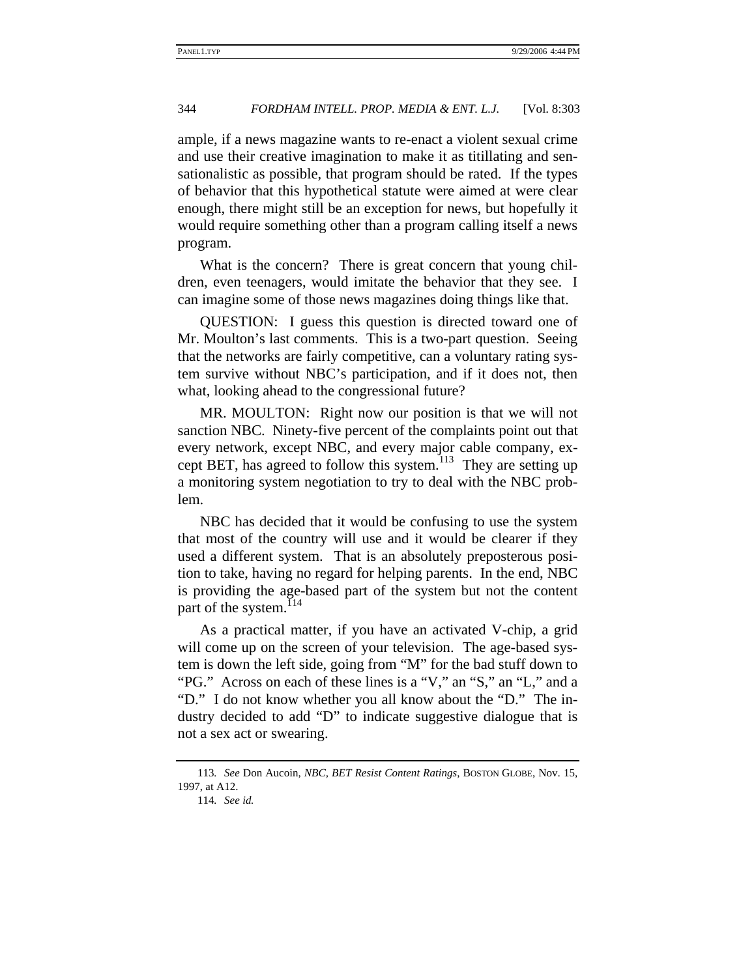ample, if a news magazine wants to re-enact a violent sexual crime and use their creative imagination to make it as titillating and sensationalistic as possible, that program should be rated. If the types of behavior that this hypothetical statute were aimed at were clear enough, there might still be an exception for news, but hopefully it would require something other than a program calling itself a news program.

What is the concern? There is great concern that young children, even teenagers, would imitate the behavior that they see. I can imagine some of those news magazines doing things like that.

QUESTION: I guess this question is directed toward one of Mr. Moulton's last comments. This is a two-part question. Seeing that the networks are fairly competitive, can a voluntary rating system survive without NBC's participation, and if it does not, then what, looking ahead to the congressional future?

MR. MOULTON: Right now our position is that we will not sanction NBC. Ninety-five percent of the complaints point out that every network, except NBC, and every major cable company, except BET, has agreed to follow this system.<sup>113</sup> They are setting up a monitoring system negotiation to try to deal with the NBC problem.

NBC has decided that it would be confusing to use the system that most of the country will use and it would be clearer if they used a different system. That is an absolutely preposterous position to take, having no regard for helping parents. In the end, NBC is providing the age-based part of the system but not the content part of the system.<sup>114</sup>

As a practical matter, if you have an activated V-chip, a grid will come up on the screen of your television. The age-based system is down the left side, going from "M" for the bad stuff down to "PG." Across on each of these lines is a "V," an "S," an "L," and a "D." I do not know whether you all know about the "D." The industry decided to add "D" to indicate suggestive dialogue that is not a sex act or swearing.

<sup>113</sup>*. See* Don Aucoin, *NBC, BET Resist Content Ratings*, BOSTON GLOBE, Nov. 15, 1997, at A12.

<sup>114</sup>*. See id.*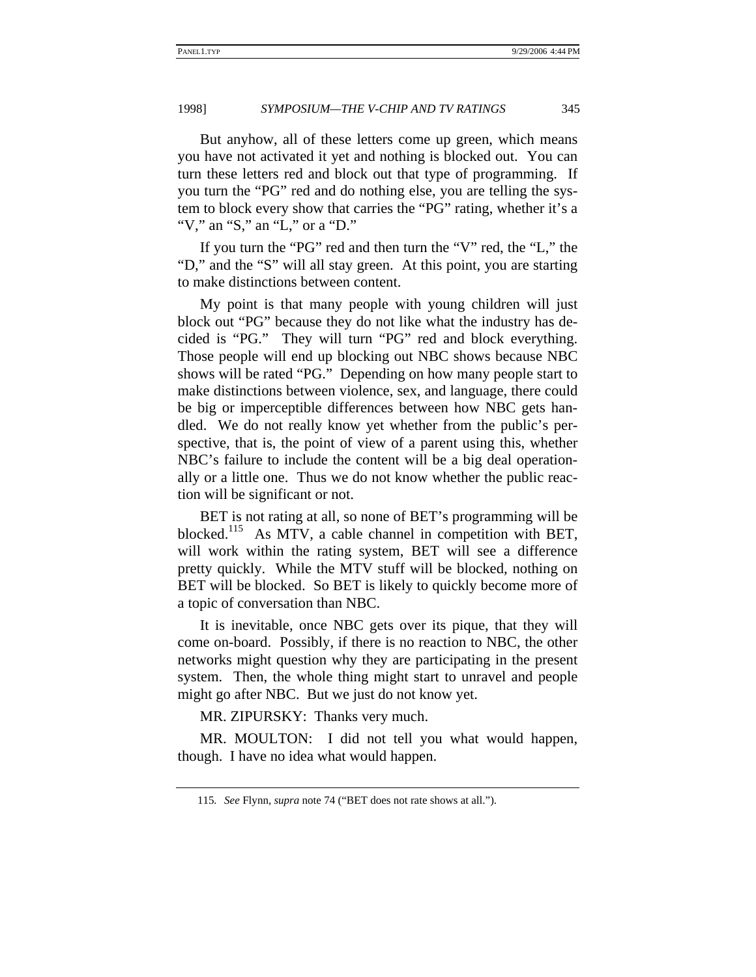But anyhow, all of these letters come up green, which means you have not activated it yet and nothing is blocked out. You can turn these letters red and block out that type of programming. If you turn the "PG" red and do nothing else, you are telling the system to block every show that carries the "PG" rating, whether it's a "V," an "S," an "L," or a "D."

If you turn the "PG" red and then turn the "V" red, the "L," the "D," and the "S" will all stay green. At this point, you are starting to make distinctions between content.

My point is that many people with young children will just block out "PG" because they do not like what the industry has decided is "PG." They will turn "PG" red and block everything. Those people will end up blocking out NBC shows because NBC shows will be rated "PG." Depending on how many people start to make distinctions between violence, sex, and language, there could be big or imperceptible differences between how NBC gets handled. We do not really know yet whether from the public's perspective, that is, the point of view of a parent using this, whether NBC's failure to include the content will be a big deal operationally or a little one. Thus we do not know whether the public reaction will be significant or not.

BET is not rating at all, so none of BET's programming will be blocked.<sup>115</sup> As MTV, a cable channel in competition with BET, will work within the rating system, BET will see a difference pretty quickly. While the MTV stuff will be blocked, nothing on BET will be blocked. So BET is likely to quickly become more of a topic of conversation than NBC.

It is inevitable, once NBC gets over its pique, that they will come on-board. Possibly, if there is no reaction to NBC, the other networks might question why they are participating in the present system. Then, the whole thing might start to unravel and people might go after NBC. But we just do not know yet.

MR. ZIPURSKY: Thanks very much.

MR. MOULTON: I did not tell you what would happen, though. I have no idea what would happen.

<sup>115</sup>*. See* Flynn, *supra* note 74 ("BET does not rate shows at all.").